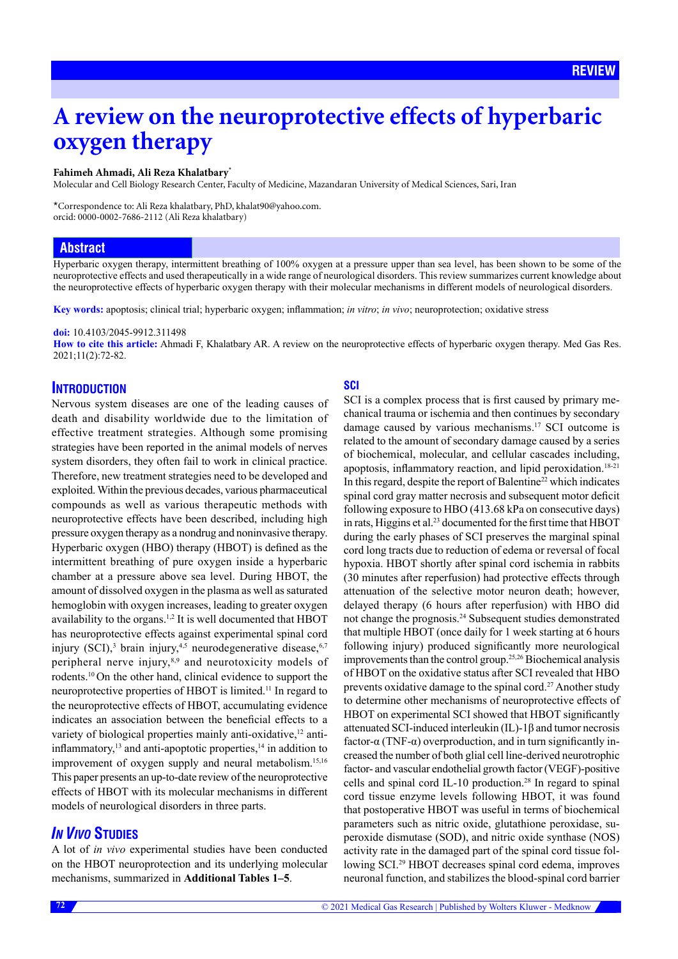# **A review on the neuroprotective effects of hyperbaric oxygen therapy**

#### **Fahimeh Ahmadi, Ali Reza Khalatbary**\*

Molecular and Cell Biology Research Center, Faculty of Medicine, Mazandaran University of Medical Sciences, Sari, Iran

\*Correspondence to: Ali Reza khalatbary, PhD, khalat90@yahoo.com. orcid: [0000-0002-7686-2112](http://orcid.org/0000-0002-7686-2112) (Ali Reza khalatbary)

# **Abstract**

Hyperbaric oxygen therapy, intermittent breathing of 100% oxygen at a pressure upper than sea level, has been shown to be some of the neuroprotective effects and used therapeutically in a wide range of neurological disorders. This review summarizes current knowledge about the neuroprotective effects of hyperbaric oxygen therapy with their molecular mechanisms in different models of neurological disorders.

**Key words:** apoptosis; clinical trial; hyperbaric oxygen; inflammation; *in vitro*; *in vivo*; neuroprotection; oxidative stress

#### **doi:** 10.4103/2045-9912.311498

**How to cite this article:** Ahmadi F, Khalatbary AR. A review on the neuroprotective effects of hyperbaric oxygen therapy. Med Gas Res. 2021;11(2):72-82.

# **INTRODUCTION**

Nervous system diseases are one of the leading causes of death and disability worldwide due to the limitation of effective treatment strategies. Although some promising strategies have been reported in the animal models of nerves system disorders, they often fail to work in clinical practice. Therefore, new treatment strategies need to be developed and exploited. Within the previous decades, various pharmaceutical compounds as well as various therapeutic methods with neuroprotective effects have been described, including high pressure oxygen therapy as a nondrug and noninvasive therapy. Hyperbaric oxygen (HBO) therapy (HBOT) is defined as the intermittent breathing of pure oxygen inside a hyperbaric chamber at a pressure above sea level. During HBOT, the amount of dissolved oxygen in the plasma as well as saturated hemoglobin with oxygen increases, leading to greater oxygen availability to the organs.1,2 It is well documented that HBOT has neuroprotective effects against experimental spinal cord injury  $(SCI)$ ,<sup>3</sup> brain injury,<sup>4,5</sup> neurodegenerative disease,<sup>6,7</sup> peripheral nerve injury, $8,9$  and neurotoxicity models of rodents.10 On the other hand, clinical evidence to support the neuroprotective properties of HBOT is limited.11 In regard to the neuroprotective effects of HBOT, accumulating evidence indicates an association between the beneficial effects to a variety of biological properties mainly anti-oxidative,<sup>12</sup> antiinflammatory,<sup>13</sup> and anti-apoptotic properties,<sup>14</sup> in addition to improvement of oxygen supply and neural metabolism.<sup>15,16</sup> This paper presents an up-to-date review of the neuroprotective effects of HBOT with its molecular mechanisms in different models of neurological disorders in three parts.

# *IN VIVO* **STUDIES**

A lot of *in vivo* experimental studies have been conducted on the HBOT neuroprotection and its underlying molecular mechanisms, summarized in **Additional Tables 1–5**.

# **SCI**

SCI is a complex process that is first caused by primary mechanical trauma or ischemia and then continues by secondary damage caused by various mechanisms.17 SCI outcome is related to the amount of secondary damage caused by a series of biochemical, molecular, and cellular cascades including, apoptosis, inflammatory reaction, and lipid peroxidation.<sup>18-21</sup> In this regard, despite the report of Balentine22 which indicates spinal cord gray matter necrosis and subsequent motor deficit following exposure to HBO (413.68 kPa on consecutive days) in rats, Higgins et al.<sup>23</sup> documented for the first time that HBOT during the early phases of SCI preserves the marginal spinal cord long tracts due to reduction of edema or reversal of focal hypoxia. HBOT shortly after spinal cord ischemia in rabbits (30 minutes after reperfusion) had protective effects through attenuation of the selective motor neuron death; however, delayed therapy (6 hours after reperfusion) with HBO did not change the prognosis.24 Subsequent studies demonstrated that multiple HBOT (once daily for 1 week starting at 6 hours following injury) produced significantly more neurological improvements than the control group.25,26 Biochemical analysis of HBOT on the oxidative status after SCI revealed that HBO prevents oxidative damage to the spinal cord.<sup>27</sup> Another study to determine other mechanisms of neuroprotective effects of HBOT on experimental SCI showed that HBOT significantly attenuated SCI-induced interleukin (IL)-1β and tumor necrosis factor-α (TNF-α) overproduction, and in turn significantly increased the number of both glial cell line-derived neurotrophic factor- and vascular endothelial growth factor (VEGF)-positive cells and spinal cord IL-10 production.<sup>28</sup> In regard to spinal cord tissue enzyme levels following HBOT, it was found that postoperative HBOT was useful in terms of biochemical parameters such as nitric oxide, glutathione peroxidase, superoxide dismutase (SOD), and nitric oxide synthase (NOS) activity rate in the damaged part of the spinal cord tissue following SCI.29 HBOT decreases spinal cord edema, improves neuronal function, and stabilizes the blood-spinal cord barrier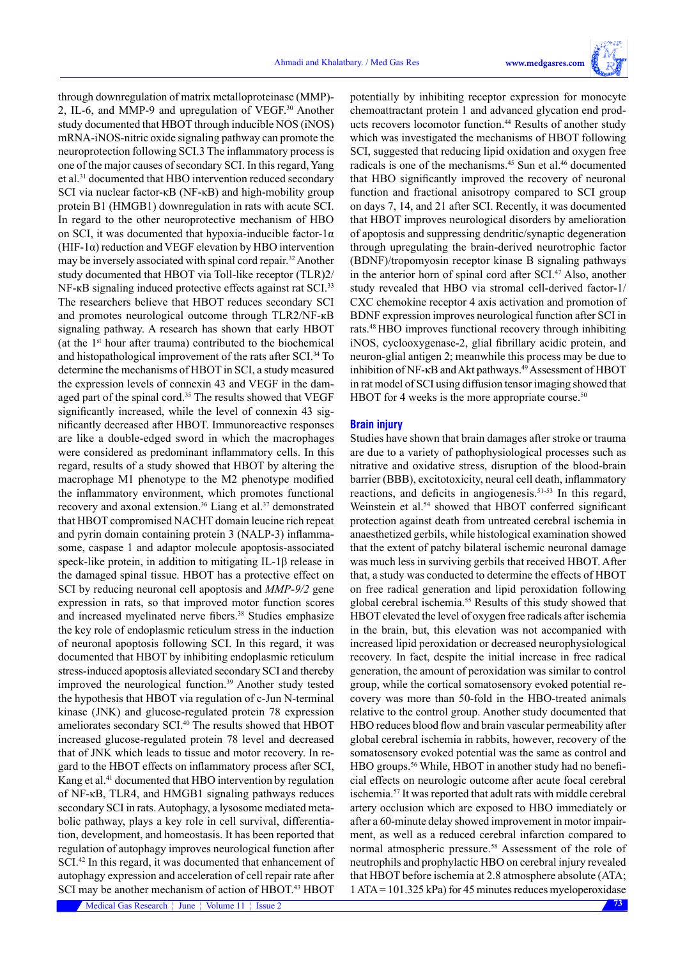through downregulation of matrix metalloproteinase (MMP)- 2, IL-6, and MMP-9 and upregulation of VEGF.30 Another study documented that HBOT through inducible NOS (iNOS) mRNA-iNOS-nitric oxide signaling pathway can promote the neuroprotection following SCI.3 The inflammatory process is one of the major causes of secondary SCI. In this regard, Yang et al.31 documented that HBO intervention reduced secondary SCI via nuclear factor-κB (NF-κB) and high-mobility group protein B1 (HMGB1) downregulation in rats with acute SCI. In regard to the other neuroprotective mechanism of HBO on SCI, it was documented that hypoxia-inducible factor-1 $\alpha$ (HIF-1 $\alpha$ ) reduction and VEGF elevation by HBO intervention may be inversely associated with spinal cord repair.<sup>32</sup> Another study documented that HBOT via Toll-like receptor (TLR)2/ NF-кB signaling induced protective effects against rat SCI.<sup>33</sup> The researchers believe that HBOT reduces secondary SCI and promotes neurological outcome through TLR2/NF-кB signaling pathway. A research has shown that early HBOT (at the  $1<sup>st</sup>$  hour after trauma) contributed to the biochemical and histopathological improvement of the rats after SCI.<sup>34</sup> To determine the mechanisms of HBOT in SCI, a study measured the expression levels of connexin 43 and VEGF in the damaged part of the spinal cord.<sup>35</sup> The results showed that VEGF significantly increased, while the level of connexin 43 significantly decreased after HBOT. Immunoreactive responses are like a double-edged sword in which the macrophages were considered as predominant inflammatory cells. In this regard, results of a study showed that HBOT by altering the macrophage M1 phenotype to the M2 phenotype modified the inflammatory environment, which promotes functional recovery and axonal extension.<sup>36</sup> Liang et al.<sup>37</sup> demonstrated that HBOT compromised NACHT domain leucine rich repeat and pyrin domain containing protein 3 (NALP-3) inflammasome, caspase 1 and adaptor molecule apoptosis-associated speck-like protein, in addition to mitigating IL-1β release in the damaged spinal tissue. HBOT has a protective effect on SCI by reducing neuronal cell apoptosis and *MMP-9/2* gene expression in rats, so that improved motor function scores and increased myelinated nerve fibers.<sup>38</sup> Studies emphasize the key role of endoplasmic reticulum stress in the induction of neuronal apoptosis following SCI. In this regard, it was documented that HBOT by inhibiting endoplasmic reticulum stress-induced apoptosis alleviated secondary SCI and thereby improved the neurological function.<sup>39</sup> Another study tested the hypothesis that HBOT via regulation of c-Jun N-terminal kinase (JNK) and glucose-regulated protein 78 expression ameliorates secondary SCI.<sup>40</sup> The results showed that HBOT increased glucose-regulated protein 78 level and decreased that of JNK which leads to tissue and motor recovery. In regard to the HBOT effects on inflammatory process after SCI, Kang et al.<sup>41</sup> documented that HBO intervention by regulation of NF-κB, TLR4, and HMGB1 signaling pathways reduces secondary SCI in rats. Autophagy, a lysosome mediated metabolic pathway, plays a key role in cell survival, differentiation, development, and homeostasis. It has been reported that regulation of autophagy improves neurological function after SCI.<sup>42</sup> In this regard, it was documented that enhancement of autophagy expression and acceleration of cell repair rate after SCI may be another mechanism of action of HBOT.<sup>43</sup> HBOT

potentially by inhibiting receptor expression for monocyte chemoattractant protein 1 and advanced glycation end products recovers locomotor function.<sup>44</sup> Results of another study which was investigated the mechanisms of HBOT following SCI, suggested that reducing lipid oxidation and oxygen free radicals is one of the mechanisms.<sup>45</sup> Sun et al.<sup>46</sup> documented that HBO significantly improved the recovery of neuronal function and fractional anisotropy compared to SCI group on days 7, 14, and 21 after SCI. Recently, it was documented that HBOT improves neurological disorders by amelioration of apoptosis and suppressing dendritic/synaptic degeneration through upregulating the brain-derived neurotrophic factor (BDNF)/tropomyosin receptor kinase B signaling pathways in the anterior horn of spinal cord after SCI.<sup>47</sup> Also, another study revealed that HBO via stromal cell-derived factor-1/ CXC chemokine receptor 4 axis activation and promotion of BDNF expression improves neurological function after SCI in rats.48 HBO improves functional recovery through inhibiting iNOS, cyclooxygenase-2, glial fibrillary acidic protein, and neuron-glial antigen 2; meanwhile this process may be due to inhibition of NF-κB and Akt pathways.<sup>49</sup> Assessment of HBOT in rat model of SCI using diffusion tensor imaging showed that HBOT for 4 weeks is the more appropriate course. $50$ 

### **Brain injury**

Studies have shown that brain damages after stroke or trauma are due to a variety of pathophysiological processes such as nitrative and oxidative stress, disruption of the blood-brain barrier (BBB), excitotoxicity, neural cell death, inflammatory reactions, and deficits in angiogenesis.51-53 In this regard, Weinstein et al.<sup>54</sup> showed that HBOT conferred significant protection against death from untreated cerebral ischemia in anaesthetized gerbils, while histological examination showed that the extent of patchy bilateral ischemic neuronal damage was much less in surviving gerbils that received HBOT. After that, a study was conducted to determine the effects of HBOT on free radical generation and lipid peroxidation following global cerebral ischemia.55 Results of this study showed that HBOT elevated the level of oxygen free radicals after ischemia in the brain, but, this elevation was not accompanied with increased lipid peroxidation or decreased neurophysiological recovery. In fact, despite the initial increase in free radical generation, the amount of peroxidation was similar to control group, while the cortical somatosensory evoked potential recovery was more than 50-fold in the HBO-treated animals relative to the control group. Another study documented that HBO reduces blood flow and brain vascular permeability after global cerebral ischemia in rabbits, however, recovery of the somatosensory evoked potential was the same as control and HBO groups.<sup>56</sup> While, HBOT in another study had no beneficial effects on neurologic outcome after acute focal cerebral ischemia.57 It was reported that adult rats with middle cerebral artery occlusion which are exposed to HBO immediately or after a 60-minute delay showed improvement in motor impairment, as well as a reduced cerebral infarction compared to normal atmospheric pressure.58 Assessment of the role of neutrophils and prophylactic HBO on cerebral injury revealed that HBOT before ischemia at 2.8 atmosphere absolute (ATA; 1 ATA = 101.325 kPa) for 45 minutes reduces myeloperoxidase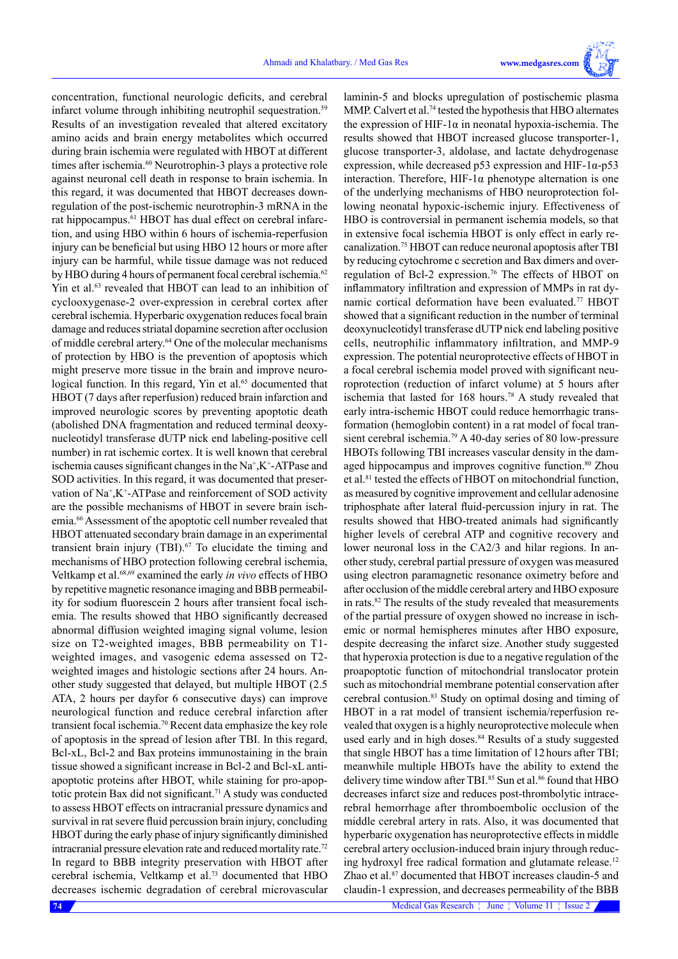

laminin-5 and blocks upregulation of postischemic plasma MMP. Calvert et al.74 tested the hypothesis that HBO alternates the expression of HIF-1 $\alpha$  in neonatal hypoxia-ischemia. The results showed that HBOT increased glucose transporter-1, glucose transporter-3, aldolase, and lactate dehydrogenase expression, while decreased p53 expression and HIF-1 $\alpha$ -p53 interaction. Therefore, HIF-1 $\alpha$  phenotype alternation is one of the underlying mechanisms of HBO neuroprotection following neonatal hypoxic-ischemic injury. Effectiveness of HBO is controversial in permanent ischemia models, so that in extensive focal ischemia HBOT is only effect in early recanalization.75 HBOT can reduce neuronal apoptosis after TBI by reducing cytochrome c secretion and Bax dimers and overregulation of Bcl-2 expression.<sup>76</sup> The effects of HBOT on inflammatory infiltration and expression of MMPs in rat dynamic cortical deformation have been evaluated.77 HBOT showed that a significant reduction in the number of terminal deoxynucleotidyl transferase dUTP nick end labeling positive cells, neutrophilic inflammatory infiltration, and MMP-9 expression. The potential neuroprotective effects of HBOT in a focal cerebral ischemia model proved with significant neuroprotection (reduction of infarct volume) at 5 hours after ischemia that lasted for 168 hours.78 A study revealed that early intra-ischemic HBOT could reduce hemorrhagic transformation (hemoglobin content) in a rat model of focal transient cerebral ischemia.79 A 40-day series of 80 low-pressure HBOTs following TBI increases vascular density in the damaged hippocampus and improves cognitive function.<sup>80</sup> Zhou et al.<sup>81</sup> tested the effects of HBOT on mitochondrial function, as measured by cognitive improvement and cellular adenosine triphosphate after lateral fluid-percussion injury in rat. The results showed that HBO-treated animals had significantly higher levels of cerebral ATP and cognitive recovery and lower neuronal loss in the CA2/3 and hilar regions. In another study, cerebral partial pressure of oxygen was measured using electron paramagnetic resonance oximetry before and after occlusion of the middle cerebral artery and HBO exposure in rats.82 The results of the study revealed that measurements of the partial pressure of oxygen showed no increase in ischemic or normal hemispheres minutes after HBO exposure, despite decreasing the infarct size. Another study suggested that hyperoxia protection is due to a negative regulation of the proapoptotic function of mitochondrial translocator protein such as mitochondrial membrane potential conservation after cerebral contusion.83 Study on optimal dosing and timing of HBOT in a rat model of transient ischemia/reperfusion revealed that oxygen is a highly neuroprotective molecule when used early and in high doses.<sup>84</sup> Results of a study suggested

concentration, functional neurologic deficits, and cerebral infarct volume through inhibiting neutrophil sequestration.<sup>59</sup> Results of an investigation revealed that altered excitatory amino acids and brain energy metabolites which occurred during brain ischemia were regulated with HBOT at different times after ischemia.<sup>60</sup> Neurotrophin-3 plays a protective role against neuronal cell death in response to brain ischemia. In this regard, it was documented that HBOT decreases downregulation of the post-ischemic neurotrophin-3 mRNA in the rat hippocampus.<sup>61</sup> HBOT has dual effect on cerebral infarction, and using HBO within 6 hours of ischemia-reperfusion injury can be beneficial but using HBO 12 hours or more after injury can be harmful, while tissue damage was not reduced by HBO during 4 hours of permanent focal cerebral ischemia.<sup>62</sup> Yin et al.<sup>63</sup> revealed that HBOT can lead to an inhibition of cyclooxygenase-2 over-expression in cerebral cortex after cerebral ischemia. Hyperbaric oxygenation reduces focal brain damage and reduces striatal dopamine secretion after occlusion of middle cerebral artery.64 One of the molecular mechanisms of protection by HBO is the prevention of apoptosis which might preserve more tissue in the brain and improve neurological function. In this regard, Yin et al.<sup>65</sup> documented that HBOT (7 days after reperfusion) reduced brain infarction and improved neurologic scores by preventing apoptotic death (abolished DNA fragmentation and reduced terminal deoxynucleotidyl transferase dUTP nick end labeling-positive cell number) in rat ischemic cortex. It is well known that cerebral ischemia causes significant changes in the  $Na^+$ ,  $K^+$ -ATPase and SOD activities. In this regard, it was documented that preservation of Na<sup>+</sup>,K<sup>+</sup>-ATPase and reinforcement of SOD activity are the possible mechanisms of HBOT in severe brain ischemia.66 Assessment of the apoptotic cell number revealed that HBOT attenuated secondary brain damage in an experimental transient brain injury (TBI). $67$  To elucidate the timing and mechanisms of HBO protection following cerebral ischemia, Veltkamp et al.68,69 examined the early *in vivo* effects of HBO by repetitive magnetic resonance imaging and BBB permeability for sodium fluorescein 2 hours after transient focal ischemia. The results showed that HBO significantly decreased abnormal diffusion weighted imaging signal volume, lesion size on T2-weighted images, BBB permeability on T1 weighted images, and vasogenic edema assessed on T2 weighted images and histologic sections after 24 hours. Another study suggested that delayed, but multiple HBOT (2.5 ATA, 2 hours per dayfor 6 consecutive days) can improve neurological function and reduce cerebral infarction after transient focal ischemia.70 Recent data emphasize the key role of apoptosis in the spread of lesion after TBI. In this regard, Bcl-xL, Bcl-2 and Bax proteins immunostaining in the brain tissue showed a significant increase in Bcl-2 and Bcl-xL antiapoptotic proteins after HBOT, while staining for pro-apoptotic protein Bax did not significant.<sup>71</sup> A study was conducted to assess HBOT effects on intracranial pressure dynamics and survival in rat severe fluid percussion brain injury, concluding HBOT during the early phase of injury significantly diminished intracranial pressure elevation rate and reduced mortality rate.72 In regard to BBB integrity preservation with HBOT after cerebral ischemia, Veltkamp et al.73 documented that HBO decreases ischemic degradation of cerebral microvascular

**74** Medical Gas Research  $\frac{1}{2}$  June  $\frac{1}{2}$  Volume 11  $\frac{1}{2}$  Issue 2 that single HBOT has a time limitation of 12 hours after TBI; meanwhile multiple HBOTs have the ability to extend the delivery time window after TBI.<sup>85</sup> Sun et al.<sup>86</sup> found that HBO decreases infarct size and reduces post-thrombolytic intracerebral hemorrhage after thromboembolic occlusion of the middle cerebral artery in rats. Also, it was documented that hyperbaric oxygenation has neuroprotective effects in middle cerebral artery occlusion-induced brain injury through reducing hydroxyl free radical formation and glutamate release.<sup>12</sup> Zhao et al.<sup>87</sup> documented that HBOT increases claudin-5 and claudin-1 expression, and decreases permeability of the BBB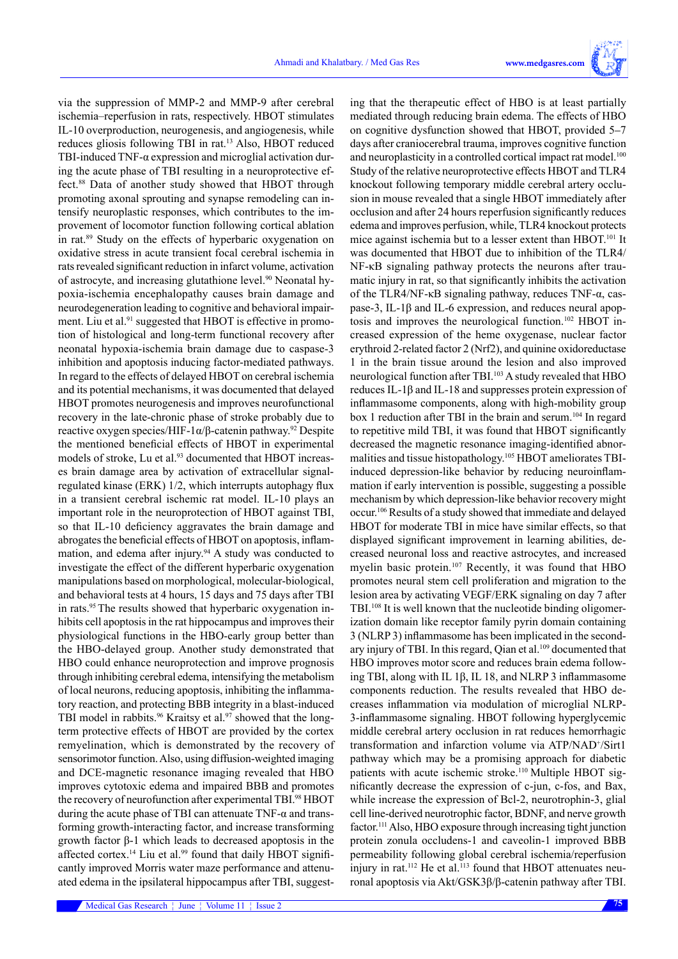via the suppression of MMP-2 and MMP-9 after cerebral ischemia–reperfusion in rats, respectively. HBOT stimulates IL-10 overproduction, neurogenesis, and angiogenesis, while reduces gliosis following TBI in rat.13 Also, HBOT reduced TBI-induced TNF-α expression and microglial activation during the acute phase of TBI resulting in a neuroprotective effect.88 Data of another study showed that HBOT through promoting axonal sprouting and synapse remodeling can intensify neuroplastic responses, which contributes to the improvement of locomotor function following cortical ablation in rat.89 Study on the effects of hyperbaric oxygenation on oxidative stress in acute transient focal cerebral ischemia in rats revealed significant reduction in infarct volume, activation of astrocyte, and increasing glutathione level.<sup>90</sup> Neonatal hypoxia-ischemia encephalopathy causes brain damage and neurodegeneration leading to cognitive and behavioral impairment. Liu et al.<sup>91</sup> suggested that HBOT is effective in promotion of histological and long-term functional recovery after neonatal hypoxia-ischemia brain damage due to caspase-3 inhibition and apoptosis inducing factor-mediated pathways. In regard to the effects of delayed HBOT on cerebral ischemia and its potential mechanisms, it was documented that delayed HBOT promotes neurogenesis and improves neurofunctional recovery in the late-chronic phase of stroke probably due to reactive oxygen species/HIF-1α/β-catenin pathway.92 Despite the mentioned beneficial effects of HBOT in experimental models of stroke, Lu et al.<sup>93</sup> documented that HBOT increases brain damage area by activation of extracellular signalregulated kinase (ERK) 1/2, which interrupts autophagy flux in a transient cerebral ischemic rat model. IL-10 plays an important role in the neuroprotection of HBOT against TBI, so that IL-10 deficiency aggravates the brain damage and abrogates the beneficial effects of HBOT on apoptosis, inflammation, and edema after injury.<sup>94</sup> A study was conducted to investigate the effect of the different hyperbaric oxygenation manipulations based on morphological, molecular-biological, and behavioral tests at 4 hours, 15 days and 75 days after TBI in rats.95 The results showed that hyperbaric oxygenation inhibits cell apoptosis in the rat hippocampus and improves their physiological functions in the HBO-early group better than the HBO-delayed group. Another study demonstrated that HBO could enhance neuroprotection and improve prognosis through inhibiting cerebral edema, intensifying the metabolism of local neurons, reducing apoptosis, inhibiting the inflammatory reaction, and protecting BBB integrity in a blast-induced TBI model in rabbits.<sup>96</sup> Kraitsy et al.<sup>97</sup> showed that the longterm protective effects of HBOT are provided by the cortex remyelination, which is demonstrated by the recovery of sensorimotor function. Also, using diffusion-weighted imaging and DCE-magnetic resonance imaging revealed that HBO improves cytotoxic edema and impaired BBB and promotes the recovery of neurofunction after experimental TBI.<sup>98</sup> HBOT during the acute phase of TBI can attenuate TNF-α and transforming growth-interacting factor, and increase transforming growth factor β-1 which leads to decreased apoptosis in the affected cortex.<sup>14</sup> Liu et al.<sup>99</sup> found that daily HBOT significantly improved Morris water maze performance and attenuated edema in the ipsilateral hippocampus after TBI, suggest-

ing that the therapeutic effect of HBO is at least partially mediated through reducing brain edema. The effects of HBO on cognitive dysfunction showed that HBOT, provided 5–7 days after craniocerebral trauma, improves cognitive function and neuroplasticity in a controlled cortical impact rat model.<sup>100</sup> Study of the relative neuroprotective effects HBOT and TLR4 knockout following temporary middle cerebral artery occlusion in mouse revealed that a single HBOT immediately after occlusion and after 24 hours reperfusion significantly reduces edema and improves perfusion, while, TLR4 knockout protects mice against ischemia but to a lesser extent than HBOT.<sup>101</sup> It was documented that HBOT due to inhibition of the TLR4/ NF-κB signaling pathway protects the neurons after traumatic injury in rat, so that significantly inhibits the activation of the TLR4/NF-κB signaling pathway, reduces TNF-α, caspase-3, IL-1β and IL-6 expression, and reduces neural apoptosis and improves the neurological function.102 HBOT increased expression of the heme oxygenase, nuclear factor erythroid 2-related factor 2 (Nrf2), and quinine oxidoreductase 1 in the brain tissue around the lesion and also improved neurological function after TBI.103 A study revealed that HBO reduces IL-1β and IL-18 and suppresses protein expression of inflammasome components, along with high-mobility group box 1 reduction after TBI in the brain and serum.<sup>104</sup> In regard to repetitive mild TBI, it was found that HBOT significantly decreased the magnetic resonance imaging-identified abnormalities and tissue histopathology.105 HBOT ameliorates TBIinduced depression-like behavior by reducing neuroinflammation if early intervention is possible, suggesting a possible mechanism by which depression-like behavior recovery might occur.106 Results of a study showed that immediate and delayed HBOT for moderate TBI in mice have similar effects, so that displayed significant improvement in learning abilities, decreased neuronal loss and reactive astrocytes, and increased myelin basic protein.107 Recently, it was found that HBO promotes neural stem cell proliferation and migration to the lesion area by activating VEGF/ERK signaling on day 7 after TBI.108 It is well known that the nucleotide binding oligomerization domain like receptor family pyrin domain containing 3 (NLRP 3) inflammasome has been implicated in the secondary injury of TBI. In this regard, Qian et al.<sup>109</sup> documented that HBO improves motor score and reduces brain edema following TBI, along with IL 1β, IL 18, and NLRP 3 inflammasome components reduction. The results revealed that HBO decreases inflammation via modulation of microglial NLRP-3-inflammasome signaling. HBOT following hyperglycemic middle cerebral artery occlusion in rat reduces hemorrhagic transformation and infarction volume via ATP/NAD<sup>+</sup>/Sirt1 pathway which may be a promising approach for diabetic patients with acute ischemic stroke.<sup>110</sup> Multiple HBOT significantly decrease the expression of c-jun, c-fos, and Bax, while increase the expression of Bcl-2, neurotrophin-3, glial cell line-derived neurotrophic factor, BDNF, and nerve growth factor.111 Also, HBO exposure through increasing tight junction protein zonula occludens-1 and caveolin-1 improved BBB permeability following global cerebral ischemia/reperfusion injury in rat.<sup>112</sup> He et al.<sup>113</sup> found that HBOT attenuates neuronal apoptosis via Akt/GSK3β/β-catenin pathway after TBI.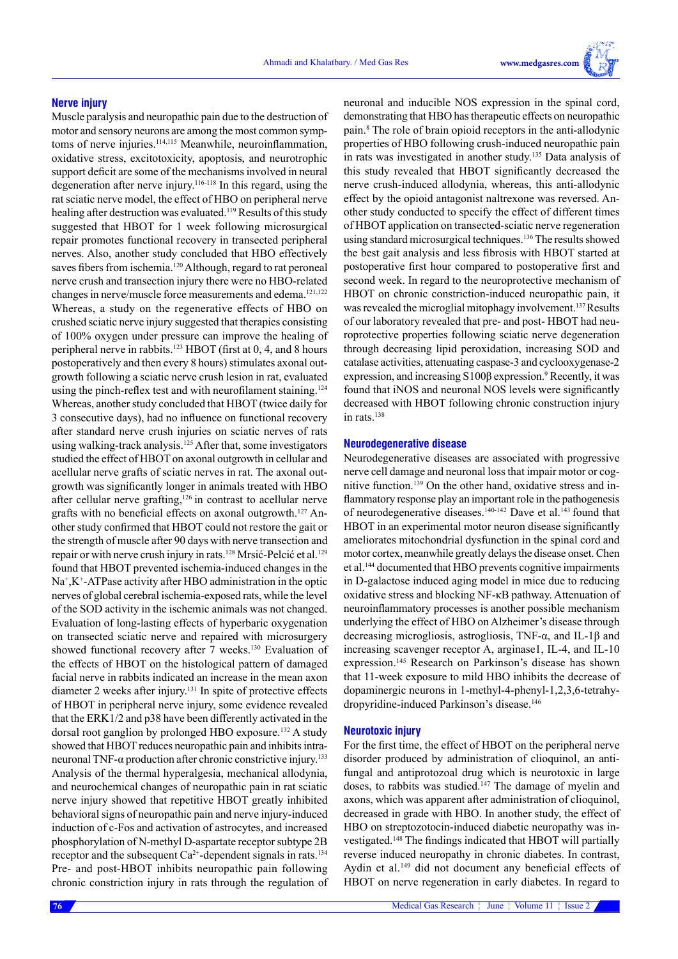#### **Nerve injury**

Muscle paralysis and neuropathic pain due to the destruction of motor and sensory neurons are among the most common symptoms of nerve injuries.<sup>114,115</sup> Meanwhile, neuroinflammation, oxidative stress, excitotoxicity, apoptosis, and neurotrophic support deficit are some of the mechanisms involved in neural degeneration after nerve injury.<sup>116-118</sup> In this regard, using the rat sciatic nerve model, the effect of HBO on peripheral nerve healing after destruction was evaluated.<sup>119</sup> Results of this study suggested that HBOT for 1 week following microsurgical repair promotes functional recovery in transected peripheral nerves. Also, another study concluded that HBO effectively saves fibers from ischemia.<sup>120</sup> Although, regard to rat peroneal nerve crush and transection injury there were no HBO-related changes in nerve/muscle force measurements and edema.121,122 Whereas, a study on the regenerative effects of HBO on crushed sciatic nerve injury suggested that therapies consisting of 100% oxygen under pressure can improve the healing of peripheral nerve in rabbits.<sup>123</sup> HBOT (first at 0, 4, and 8 hours postoperatively and then every 8 hours) stimulates axonal outgrowth following a sciatic nerve crush lesion in rat, evaluated using the pinch-reflex test and with neurofilament staining.<sup>124</sup> Whereas, another study concluded that HBOT (twice daily for 3 consecutive days), had no influence on functional recovery after standard nerve crush injuries on sciatic nerves of rats using walking-track analysis.<sup>125</sup> After that, some investigators studied the effect of HBOT on axonal outgrowth in cellular and acellular nerve grafts of sciatic nerves in rat. The axonal outgrowth was significantly longer in animals treated with HBO after cellular nerve grafting,<sup>126</sup> in contrast to acellular nerve grafts with no beneficial effects on axonal outgrowth.<sup>127</sup> Another study confirmed that HBOT could not restore the gait or the strength of muscle after 90 days with nerve transection and repair or with nerve crush injury in rats.<sup>128</sup> Mrsić-Pelcić et al.<sup>129</sup> found that HBOT prevented ischemia-induced changes in the Na<sup>+</sup>,K<sup>+</sup>-ATPase activity after HBO administration in the optic nerves of global cerebral ischemia-exposed rats, while the level of the SOD activity in the ischemic animals was not changed. Evaluation of long-lasting effects of hyperbaric oxygenation on transected sciatic nerve and repaired with microsurgery showed functional recovery after 7 weeks.<sup>130</sup> Evaluation of the effects of HBOT on the histological pattern of damaged facial nerve in rabbits indicated an increase in the mean axon diameter 2 weeks after injury.131 In spite of protective effects of HBOT in peripheral nerve injury, some evidence revealed that the ERK1/2 and p38 have been differently activated in the dorsal root ganglion by prolonged HBO exposure.<sup>132</sup> A study showed that HBOT reduces neuropathic pain and inhibits intraneuronal TNF-α production after chronic constrictive injury.<sup>133</sup> Analysis of the thermal hyperalgesia, mechanical allodynia, and neurochemical changes of neuropathic pain in rat sciatic nerve injury showed that repetitive HBOT greatly inhibited behavioral signs of neuropathic pain and nerve injury-induced induction of c-Fos and activation of astrocytes, and increased phosphorylation of N-methyl D-aspartate receptor subtype 2B receptor and the subsequent  $Ca^{2+}$ -dependent signals in rats.<sup>134</sup> Pre- and post-HBOT inhibits neuropathic pain following chronic constriction injury in rats through the regulation of

neuronal and inducible NOS expression in the spinal cord, demonstrating that HBO has therapeutic effects on neuropathic pain.8 The role of brain opioid receptors in the anti-allodynic properties of HBO following crush-induced neuropathic pain in rats was investigated in another study.135 Data analysis of this study revealed that HBOT significantly decreased the nerve crush-induced allodynia, whereas, this anti-allodynic effect by the opioid antagonist naltrexone was reversed. Another study conducted to specify the effect of different times of HBOT application on transected-sciatic nerve regeneration using standard microsurgical techniques.<sup>136</sup> The results showed the best gait analysis and less fibrosis with HBOT started at postoperative first hour compared to postoperative first and second week. In regard to the neuroprotective mechanism of HBOT on chronic constriction-induced neuropathic pain, it was revealed the microglial mitophagy involvement.<sup>137</sup> Results of our laboratory revealed that pre- and post- HBOT had neuroprotective properties following sciatic nerve degeneration through decreasing lipid peroxidation, increasing SOD and catalase activities, attenuating caspase-3 and cyclooxygenase-2 expression, and increasing S100β expression.<sup>9</sup> Recently, it was found that iNOS and neuronal NOS levels were significantly decreased with HBOT following chronic construction injury in rats.<sup>138</sup>

## **Neurodegenerative disease**

Neurodegenerative diseases are associated with progressive nerve cell damage and neuronal loss that impair motor or cognitive function.139 On the other hand, oxidative stress and inflammatory response play an important role in the pathogenesis of neurodegenerative diseases.<sup>140-142</sup> Dave et al.<sup>143</sup> found that HBOT in an experimental motor neuron disease significantly ameliorates mitochondrial dysfunction in the spinal cord and motor cortex, meanwhile greatly delays the disease onset. Chen et al.144 documented that HBO prevents cognitive impairments in D-galactose induced aging model in mice due to reducing oxidative stress and blocking NF-κB pathway. Attenuation of neuroinflammatory processes is another possible mechanism underlying the effect of HBO on Alzheimer's disease through decreasing microgliosis, astrogliosis, TNF-α, and IL-1β and increasing scavenger receptor A, arginase1, IL-4, and IL-10 expression.145 Research on Parkinson's disease has shown that 11-week exposure to mild HBO inhibits the decrease of dopaminergic neurons in 1-methyl-4-phenyl-1,2,3,6-tetrahydropyridine-induced Parkinson's disease.<sup>146</sup>

#### **Neurotoxic injury**

For the first time, the effect of HBOT on the peripheral nerve disorder produced by administration of clioquinol, an antifungal and antiprotozoal drug which is neurotoxic in large doses, to rabbits was studied.<sup>147</sup> The damage of myelin and axons, which was apparent after administration of clioquinol, decreased in grade with HBO. In another study, the effect of HBO on streptozotocin-induced diabetic neuropathy was investigated.148 The findings indicated that HBOT will partially reverse induced neuropathy in chronic diabetes. In contrast, Aydin et al.<sup>149</sup> did not document any beneficial effects of HBOT on nerve regeneration in early diabetes. In regard to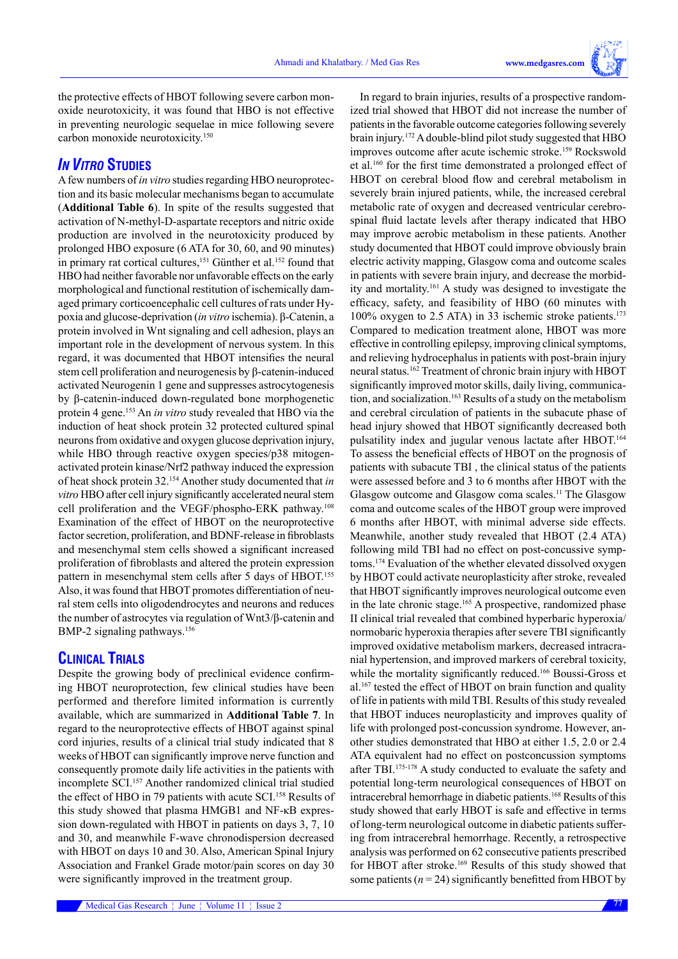In regard to brain injuries, results of a prospective random-

the protective effects of HBOT following severe carbon monoxide neurotoxicity, it was found that HBO is not effective in preventing neurologic sequelae in mice following severe carbon monoxide neurotoxicity.150

# *IN VITRO* **STUDIES**

A few numbers of *in vitro* studies regarding HBO neuroprotection and its basic molecular mechanisms began to accumulate (**Additional Table 6**). In spite of the results suggested that activation of N-methyl-D-aspartate receptors and nitric oxide production are involved in the neurotoxicity produced by prolonged HBO exposure (6 ATA for 30, 60, and 90 minutes) in primary rat cortical cultures,<sup>151</sup> Günther et al.<sup>152</sup> found that HBO had neither favorable nor unfavorable effects on the early morphological and functional restitution of ischemically damaged primary corticoencephalic cell cultures of rats under Hypoxia and glucose-deprivation (*in vitro* ischemia). β-Catenin, a protein involved in Wnt signaling and cell adhesion, plays an important role in the development of nervous system. In this regard, it was documented that HBOT intensifies the neural stem cell proliferation and neurogenesis by β-catenin-induced activated Neurogenin 1 gene and suppresses astrocytogenesis by β-catenin-induced down-regulated bone morphogenetic protein 4 gene.153 An *in vitro* study revealed that HBO via the induction of heat shock protein 32 protected cultured spinal neurons from oxidative and oxygen glucose deprivation injury, while HBO through reactive oxygen species/p38 mitogenactivated protein kinase/Nrf2 pathway induced the expression of heat shock protein 32.154 Another study documented that *in vitro* HBO after cell injury significantly accelerated neural stem cell proliferation and the VEGF/phospho-ERK pathway.108 Examination of the effect of HBOT on the neuroprotective factor secretion, proliferation, and BDNF-release in fibroblasts and mesenchymal stem cells showed a significant increased proliferation of fibroblasts and altered the protein expression pattern in mesenchymal stem cells after 5 days of HBOT.155 Also, it was found that HBOT promotes differentiation of neural stem cells into oligodendrocytes and neurons and reduces the number of astrocytes via regulation of Wnt3/β-catenin and BMP-2 signaling pathways.<sup>156</sup>

# **CLINICAL TRIALS**

Despite the growing body of preclinical evidence confirming HBOT neuroprotection, few clinical studies have been performed and therefore limited information is currently available, which are summarized in **Additional Table 7**. In regard to the neuroprotective effects of HBOT against spinal cord injuries, results of a clinical trial study indicated that 8 weeks of HBOT can significantly improve nerve function and consequently promote daily life activities in the patients with incomplete SCI.157 Another randomized clinical trial studied the effect of HBO in 79 patients with acute SCI.<sup>158</sup> Results of this study showed that plasma HMGB1 and NF-κB expression down-regulated with HBOT in patients on days 3, 7, 10 and 30, and meanwhile F-wave chronodispersion decreased with HBOT on days 10 and 30. Also, American Spinal Injury Association and Frankel Grade motor/pain scores on day 30 were significantly improved in the treatment group.

ized trial showed that HBOT did not increase the number of patients in the favorable outcome categories following severely brain injury.172 A double-blind pilot study suggested that HBO improves outcome after acute ischemic stroke.<sup>159</sup> Rockswold et al.160 for the first time demonstrated a prolonged effect of HBOT on cerebral blood flow and cerebral metabolism in severely brain injured patients, while, the increased cerebral metabolic rate of oxygen and decreased ventricular cerebrospinal fluid lactate levels after therapy indicated that HBO may improve aerobic metabolism in these patients. Another study documented that HBOT could improve obviously brain electric activity mapping, Glasgow coma and outcome scales in patients with severe brain injury, and decrease the morbidity and mortality.161 A study was designed to investigate the efficacy, safety, and feasibility of HBO (60 minutes with  $100\%$  oxygen to 2.5 ATA) in 33 ischemic stroke patients.<sup>173</sup> Compared to medication treatment alone, HBOT was more effective in controlling epilepsy, improving clinical symptoms, and relieving hydrocephalus in patients with post-brain injury neural status.162 Treatment of chronic brain injury with HBOT significantly improved motor skills, daily living, communication, and socialization.163 Results of a study on the metabolism and cerebral circulation of patients in the subacute phase of head injury showed that HBOT significantly decreased both pulsatility index and jugular venous lactate after HBOT.<sup>164</sup> To assess the beneficial effects of HBOT on the prognosis of patients with subacute TBI , the clinical status of the patients were assessed before and 3 to 6 months after HBOT with the Glasgow outcome and Glasgow coma scales.11 The Glasgow coma and outcome scales of the HBOT group were improved 6 months after HBOT, with minimal adverse side effects. Meanwhile, another study revealed that HBOT (2.4 ATA) following mild TBI had no effect on post-concussive symptoms.174 Evaluation of the whether elevated dissolved oxygen by HBOT could activate neuroplasticity after stroke, revealed that HBOT significantly improves neurological outcome even in the late chronic stage.165 A prospective, randomized phase II clinical trial revealed that combined hyperbaric hyperoxia/ normobaric hyperoxia therapies after severe TBI significantly improved oxidative metabolism markers, decreased intracranial hypertension, and improved markers of cerebral toxicity, while the mortality significantly reduced.<sup>166</sup> Boussi-Gross et al.167 tested the effect of HBOT on brain function and quality of life in patients with mild TBI. Results of this study revealed that HBOT induces neuroplasticity and improves quality of life with prolonged post-concussion syndrome. However, another studies demonstrated that HBO at either 1.5, 2.0 or 2.4 ATA equivalent had no effect on postconcussion symptoms after TBI.175-178 A study conducted to evaluate the safety and potential long-term neurological consequences of HBOT on intracerebral hemorrhage in diabetic patients.168 Results of this study showed that early HBOT is safe and effective in terms of long-term neurological outcome in diabetic patients suffering from intracerebral hemorrhage. Recently, a retrospective analysis was performed on 62 consecutive patients prescribed for HBOT after stroke.169 Results of this study showed that some patients  $(n = 24)$  significantly benefitted from HBOT by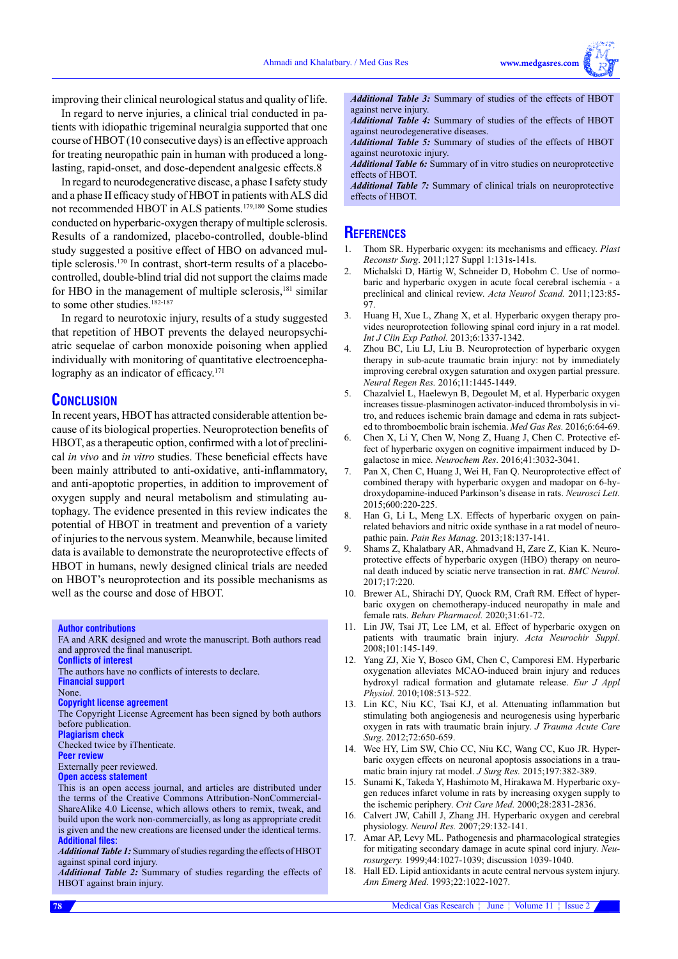improving their clinical neurological status and quality of life.

In regard to nerve injuries, a clinical trial conducted in patients with idiopathic trigeminal neuralgia supported that one course of HBOT (10 consecutive days) is an effective approach for treating neuropathic pain in human with produced a longlasting, rapid-onset, and dose-dependent analgesic effects.8

In regard to neurodegenerative disease, a phase I safety study and a phase II efficacy study of HBOT in patients with ALS did not recommended HBOT in ALS patients.179,180 Some studies conducted on hyperbaric-oxygen therapy of multiple sclerosis. Results of a randomized, placebo-controlled, double-blind study suggested a positive effect of HBO on advanced multiple sclerosis.170 In contrast, short-term results of a placebocontrolled, double-blind trial did not support the claims made for HBO in the management of multiple sclerosis, $181$  similar to some other studies.<sup>182-187</sup>

In regard to neurotoxic injury, results of a study suggested that repetition of HBOT prevents the delayed neuropsychiatric sequelae of carbon monoxide poisoning when applied individually with monitoring of quantitative electroencephalography as an indicator of efficacy.<sup>171</sup>

# **CONCLUSION**

In recent years, HBOT has attracted considerable attention because of its biological properties. Neuroprotection benefits of HBOT, as a therapeutic option, confirmed with a lot of preclinical *in vivo* and *in vitro* studies. These beneficial effects have been mainly attributed to anti-oxidative, anti-inflammatory, and anti-apoptotic properties, in addition to improvement of oxygen supply and neural metabolism and stimulating autophagy. The evidence presented in this review indicates the potential of HBOT in treatment and prevention of a variety of injuries to the nervous system. Meanwhile, because limited data is available to demonstrate the neuroprotective effects of HBOT in humans, newly designed clinical trials are needed on HBOT's neuroprotection and its possible mechanisms as well as the course and dose of HBOT.

**Author contributions**

FA and ARK designed and wrote the manuscript. Both authors read and approved the final manuscript.

**Conflicts of interest**

The authors have no conflicts of interests to declare. **Financial support**

None.

#### **Copyright license agreement**

The Copyright License Agreement has been signed by both authors before publication.

**Plagiarism check**

Checked twice by iThenticate.

**Peer review**

Externally peer reviewed. **Open access statement**

This is an open access journal, and articles are distributed under the terms of the Creative Commons Attribution-NonCommercial-

ShareAlike 4.0 License, which allows others to remix, tweak, and build upon the work non-commercially, as long as appropriate credit is given and the new creations are licensed under the identical terms. **Additional files:**

*Additional Table 1:* Summary of studies regarding the effects of HBOT against spinal cord injury.

*Additional Table 2:* Summary of studies regarding the effects of HBOT against brain injury.

*Additional Table 3:* Summary of studies of the effects of HBOT against nerve injury.

*Additional Table 4:* Summary of studies of the effects of HBOT against neurodegenerative diseases.

*Additional Table 5:* Summary of studies of the effects of HBOT against neurotoxic injury.

*Additional Table 6:* Summary of in vitro studies on neuroprotective effects of HBOT.

*Additional Table 7:* Summary of clinical trials on neuroprotective effects of HBOT.

# **References**

- 1. Thom SR. Hyperbaric oxygen: its mechanisms and efficacy. *Plast Reconstr Surg*. 2011;127 Suppl 1:131s-141s.
- 2. Michalski D, Härtig W, Schneider D, Hobohm C. Use of normobaric and hyperbaric oxygen in acute focal cerebral ischemia - a preclinical and clinical review. *Acta Neurol Scand.* 2011;123:85-  $07$
- 3. Huang H, Xue L, Zhang X, et al. Hyperbaric oxygen therapy provides neuroprotection following spinal cord injury in a rat model. *Int J Clin Exp Pathol.* 2013;6:1337-1342.
- 4. Zhou BC, Liu LJ, Liu B. Neuroprotection of hyperbaric oxygen therapy in sub-acute traumatic brain injury: not by immediately improving cerebral oxygen saturation and oxygen partial pressure. *Neural Regen Res.* 2016;11:1445-1449.
- 5. Chazalviel L, Haelewyn B, Degoulet M, et al. Hyperbaric oxygen increases tissue-plasminogen activator-induced thrombolysis in vitro, and reduces ischemic brain damage and edema in rats subjected to thromboembolic brain ischemia. *Med Gas Res.* 2016;6:64-69.
- 6. Chen X, Li Y, Chen W, Nong Z, Huang J, Chen C. Protective effect of hyperbaric oxygen on cognitive impairment induced by Dgalactose in mice. *Neurochem Res*. 2016;41:3032-3041.
- 7. Pan X, Chen C, Huang J, Wei H, Fan Q. Neuroprotective effect of combined therapy with hyperbaric oxygen and madopar on 6-hydroxydopamine-induced Parkinson's disease in rats. *Neurosci Lett.*  2015;600:220-225.
- 8. Han G, Li L, Meng LX. Effects of hyperbaric oxygen on painrelated behaviors and nitric oxide synthase in a rat model of neuropathic pain. *Pain Res Manag*. 2013;18:137-141.
- 9. Shams Z, Khalatbary AR, Ahmadvand H, Zare Z, Kian K. Neuroprotective effects of hyperbaric oxygen (HBO) therapy on neuronal death induced by sciatic nerve transection in rat. *BMC Neurol.*  $2017:17:220$
- 10. Brewer AL, Shirachi DY, Quock RM, Craft RM. Effect of hyperbaric oxygen on chemotherapy-induced neuropathy in male and female rats. *Behav Pharmacol.* 2020;31:61-72.
- 11. Lin JW, Tsai JT, Lee LM, et al. Effect of hyperbaric oxygen on patients with traumatic brain injury. *Acta Neurochir Suppl*. 2008;101:145-149.
- 12. Yang ZJ, Xie Y, Bosco GM, Chen C, Camporesi EM. Hyperbaric oxygenation alleviates MCAO-induced brain injury and reduces hydroxyl radical formation and glutamate release. *Eur J Appl Physiol.* 2010;108:513-522.
- 13. Lin KC, Niu KC, Tsai KJ, et al. Attenuating inflammation but stimulating both angiogenesis and neurogenesis using hyperbaric oxygen in rats with traumatic brain injury. *J Trauma Acute Care Surg*. 2012;72:650-659.
- 14. Wee HY, Lim SW, Chio CC, Niu KC, Wang CC, Kuo JR. Hyperbaric oxygen effects on neuronal apoptosis associations in a traumatic brain injury rat model. *J Surg Res.* 2015;197:382-389.
- 15. Sunami K, Takeda Y, Hashimoto M, Hirakawa M. Hyperbaric oxygen reduces infarct volume in rats by increasing oxygen supply to the ischemic periphery. *Crit Care Med.* 2000;28:2831-2836.
- 16. Calvert JW, Cahill J, Zhang JH. Hyperbaric oxygen and cerebral physiology. *Neurol Res.* 2007;29:132-141.
- 17. Amar AP, Levy ML. Pathogenesis and pharmacological strategies for mitigating secondary damage in acute spinal cord injury. *Neurosurgery.* 1999;44:1027-1039; discussion 1039-1040.
- 18. Hall ED. Lipid antioxidants in acute central nervous system injury. *Ann Emerg Med.* 1993;22:1022-1027.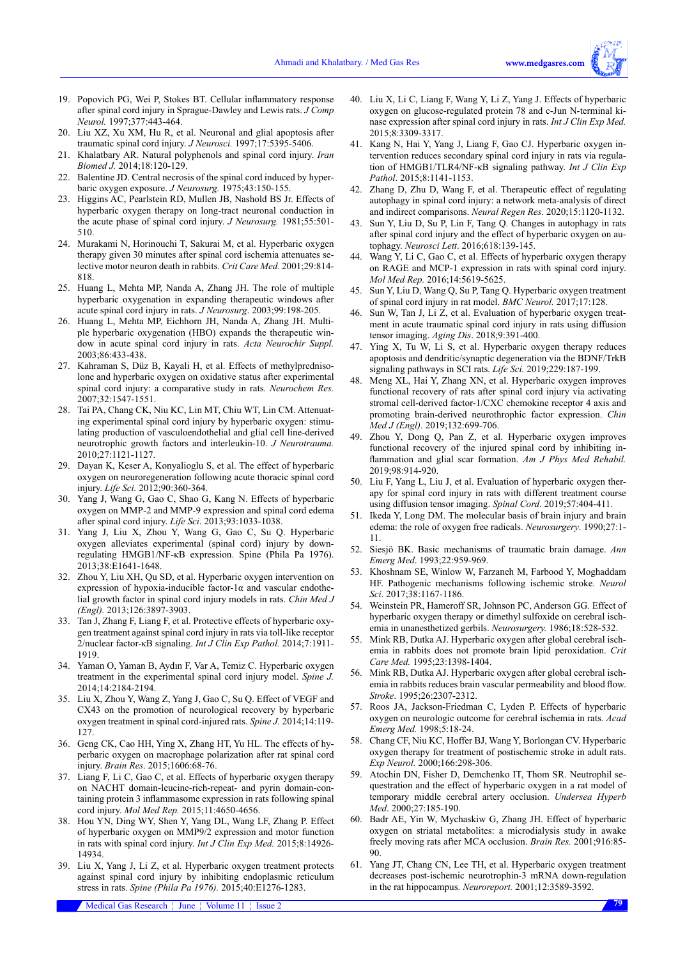- 19. Popovich PG, Wei P, Stokes BT. Cellular inflammatory response after spinal cord injury in Sprague-Dawley and Lewis rats. *J Comp Neurol.* 1997;377:443-464.
- 20. Liu XZ, Xu XM, Hu R, et al. Neuronal and glial apoptosis after traumatic spinal cord injury. *J Neurosci.* 1997;17:5395-5406.
- 21. Khalatbary AR. Natural polyphenols and spinal cord injury. *Iran Biomed J.* 2014;18:120-129.
- 22. Balentine JD. Central necrosis of the spinal cord induced by hyperbaric oxygen exposure. *J Neurosurg.* 1975;43:150-155.
- 23. Higgins AC, Pearlstein RD, Mullen JB, Nashold BS Jr. Effects of hyperbaric oxygen therapy on long-tract neuronal conduction in the acute phase of spinal cord injury. *J Neurosurg.* 1981;55:501- 510.
- 24. Murakami N, Horinouchi T, Sakurai M, et al. Hyperbaric oxygen therapy given 30 minutes after spinal cord ischemia attenuates selective motor neuron death in rabbits. *Crit Care Med.* 2001;29:814- 818.
- 25. Huang L, Mehta MP, Nanda A, Zhang JH. The role of multiple hyperbaric oxygenation in expanding therapeutic windows after acute spinal cord injury in rats. *J Neurosurg*. 2003;99:198-205.
- 26. Huang L, Mehta MP, Eichhorn JH, Nanda A, Zhang JH. Multiple hyperbaric oxygenation (HBO) expands the therapeutic window in acute spinal cord injury in rats. *Acta Neurochir Suppl.* 2003;86:433-438.
- 27. Kahraman S, Düz B, Kayali H, et al. Effects of methylprednisolone and hyperbaric oxygen on oxidative status after experimental spinal cord injury: a comparative study in rats. *Neurochem Res.* 2007;32:1547-1551.
- 28. Tai PA, Chang CK, Niu KC, Lin MT, Chiu WT, Lin CM. Attenuating experimental spinal cord injury by hyperbaric oxygen: stimulating production of vasculoendothelial and glial cell line-derived neurotrophic growth factors and interleukin-10. *J Neurotrauma.* 2010;27:1121-1127.
- 29. Dayan K, Keser A, Konyalioglu S, et al. The effect of hyperbaric oxygen on neuroregeneration following acute thoracic spinal cord injury. *Life Sci.* 2012;90:360-364.
- 30. Yang J, Wang G, Gao C, Shao G, Kang N. Effects of hyperbaric oxygen on MMP-2 and MMP-9 expression and spinal cord edema after spinal cord injury. *Life Sci*. 2013;93:1033-1038.
- 31. Yang J, Liu X, Zhou Y, Wang G, Gao C, Su Q. Hyperbaric oxygen alleviates experimental (spinal cord) injury by downregulating HMGB1/NF-κB expression. Spine (Phila Pa 1976). 2013;38:E1641-1648.
- 32. Zhou Y, Liu XH, Qu SD, et al. Hyperbaric oxygen intervention on expression of hypoxia-inducible factor-1 $\alpha$  and vascular endothelial growth factor in spinal cord injury models in rats. *Chin Med J (Engl).* 2013;126:3897-3903.
- 33. Tan J, Zhang F, Liang F, et al. Protective effects of hyperbaric oxygen treatment against spinal cord injury in rats via toll-like receptor 2/nuclear factor-κB signaling. *Int J Clin Exp Pathol.* 2014;7:1911- 1919.
- 34. Yaman O, Yaman B, Aydın F, Var A, Temiz C. Hyperbaric oxygen treatment in the experimental spinal cord injury model. *Spine J.* 2014;14:2184-2194.
- 35. Liu X, Zhou Y, Wang Z, Yang J, Gao C, Su Q. Effect of VEGF and CX43 on the promotion of neurological recovery by hyperbaric oxygen treatment in spinal cord-injured rats. *Spine J.* 2014;14:119- 127.
- 36. Geng CK, Cao HH, Ying X, Zhang HT, Yu HL. The effects of hyperbaric oxygen on macrophage polarization after rat spinal cord injury. *Brain Res*. 2015;1606:68-76.
- 37. Liang F, Li C, Gao C, et al. Effects of hyperbaric oxygen therapy on NACHT domain-leucine-rich-repeat- and pyrin domain-containing protein 3 inflammasome expression in rats following spinal cord injury. *Mol Med Rep.* 2015;11:4650-4656.
- 38. Hou YN, Ding WY, Shen Y, Yang DL, Wang LF, Zhang P. Effect of hyperbaric oxygen on MMP9/2 expression and motor function in rats with spinal cord injury. *Int J Clin Exp Med.* 2015;8:14926- 14934.
- 39. Liu X, Yang J, Li Z, et al. Hyperbaric oxygen treatment protects against spinal cord injury by inhibiting endoplasmic reticulum stress in rats. *Spine (Phila Pa 1976).* 2015;40:E1276-1283.
- 40. Liu X, Li C, Liang F, Wang Y, Li Z, Yang J. Effects of hyperbaric oxygen on glucose-regulated protein 78 and c-Jun N-terminal kinase expression after spinal cord injury in rats. *Int J Clin Exp Med.*  2015;8:3309-3317.
- 41. Kang N, Hai Y, Yang J, Liang F, Gao CJ. Hyperbaric oxygen intervention reduces secondary spinal cord injury in rats via regulation of HMGB1/TLR4/NF-κB signaling pathway. *Int J Clin Exp Pathol*. 2015;8:1141-1153.
- 42. Zhang D, Zhu D, Wang F, et al. Therapeutic effect of regulating autophagy in spinal cord injury: a network meta-analysis of direct and indirect comparisons. *Neural Regen Res*. 2020;15:1120-1132.
- 43. Sun Y, Liu D, Su P, Lin F, Tang Q. Changes in autophagy in rats after spinal cord injury and the effect of hyperbaric oxygen on autophagy. *Neurosci Lett*. 2016;618:139-145.
- 44. Wang Y, Li C, Gao C, et al. Effects of hyperbaric oxygen therapy on RAGE and MCP-1 expression in rats with spinal cord injury. *Mol Med Rep.* 2016;14:5619-5625.
- 45. Sun Y, Liu D, Wang Q, Su P, Tang Q. Hyperbaric oxygen treatment of spinal cord injury in rat model. *BMC Neurol.* 2017;17:128.
- Sun W, Tan J, Li Z, et al. Evaluation of hyperbaric oxygen treatment in acute traumatic spinal cord injury in rats using diffusion tensor imaging. *Aging Dis*. 2018;9:391-400.
- 47. Ying X, Tu W, Li S, et al. Hyperbaric oxygen therapy reduces apoptosis and dendritic/synaptic degeneration via the BDNF/TrkB signaling pathways in SCI rats. *Life Sci.* 2019;229:187-199.
- Meng XL, Hai Y, Zhang XN, et al. Hyperbaric oxygen improves functional recovery of rats after spinal cord injury via activating stromal cell-derived factor-1/CXC chemokine receptor 4 axis and promoting brain-derived neurothrophic factor expression. *Chin Med J (Engl)*. 2019;132:699-706.
- 49. Zhou Y, Dong Q, Pan Z, et al. Hyperbaric oxygen improves functional recovery of the injured spinal cord by inhibiting inflammation and glial scar formation. *Am J Phys Med Rehabil.* 2019;98:914-920.
- 50. Liu F, Yang L, Liu J, et al. Evaluation of hyperbaric oxygen therapy for spinal cord injury in rats with different treatment course using diffusion tensor imaging. *Spinal Cord*. 2019;57:404-411.
- 51. Ikeda Y, Long DM. The molecular basis of brain injury and brain edema: the role of oxygen free radicals. *Neurosurgery*. 1990;27:1- 11.
- 52. Siesjö BK. Basic mechanisms of traumatic brain damage. *Ann Emerg Med*. 1993;22:959-969.
- 53. Khoshnam SE, Winlow W, Farzaneh M, Farbood Y, Moghaddam HF. Pathogenic mechanisms following ischemic stroke. *Neurol Sci*. 2017;38:1167-1186.
- 54. Weinstein PR, Hameroff SR, Johnson PC, Anderson GG. Effect of hyperbaric oxygen therapy or dimethyl sulfoxide on cerebral ischemia in unanesthetized gerbils. *Neurosurgery.* 1986;18:528-532.
- 55. Mink RB, Dutka AJ. Hyperbaric oxygen after global cerebral ischemia in rabbits does not promote brain lipid peroxidation. *Crit Care Med.* 1995;23:1398-1404.
- 56. Mink RB, Dutka AJ. Hyperbaric oxygen after global cerebral ischemia in rabbits reduces brain vascular permeability and blood flow. *Stroke*. 1995;26:2307-2312.
- 57. Roos JA, Jackson-Friedman C, Lyden P. Effects of hyperbaric oxygen on neurologic outcome for cerebral ischemia in rats. *Acad Emerg Med.* 1998;5:18-24.
- 58. Chang CF, Niu KC, Hoffer BJ, Wang Y, Borlongan CV. Hyperbaric oxygen therapy for treatment of postischemic stroke in adult rats. *Exp Neurol.* 2000;166:298-306.
- 59. Atochin DN, Fisher D, Demchenko IT, Thom SR. Neutrophil sequestration and the effect of hyperbaric oxygen in a rat model of temporary middle cerebral artery occlusion. *Undersea Hyperb Med*. 2000;27:185-190.
- 60. Badr AE, Yin W, Mychaskiw G, Zhang JH. Effect of hyperbaric oxygen on striatal metabolites: a microdialysis study in awake freely moving rats after MCA occlusion. *Brain Res.* 2001;916:85- 90.
- 61. Yang JT, Chang CN, Lee TH, et al. Hyperbaric oxygen treatment decreases post-ischemic neurotrophin-3 mRNA down-regulation in the rat hippocampus. *Neuroreport.* 2001;12:3589-3592.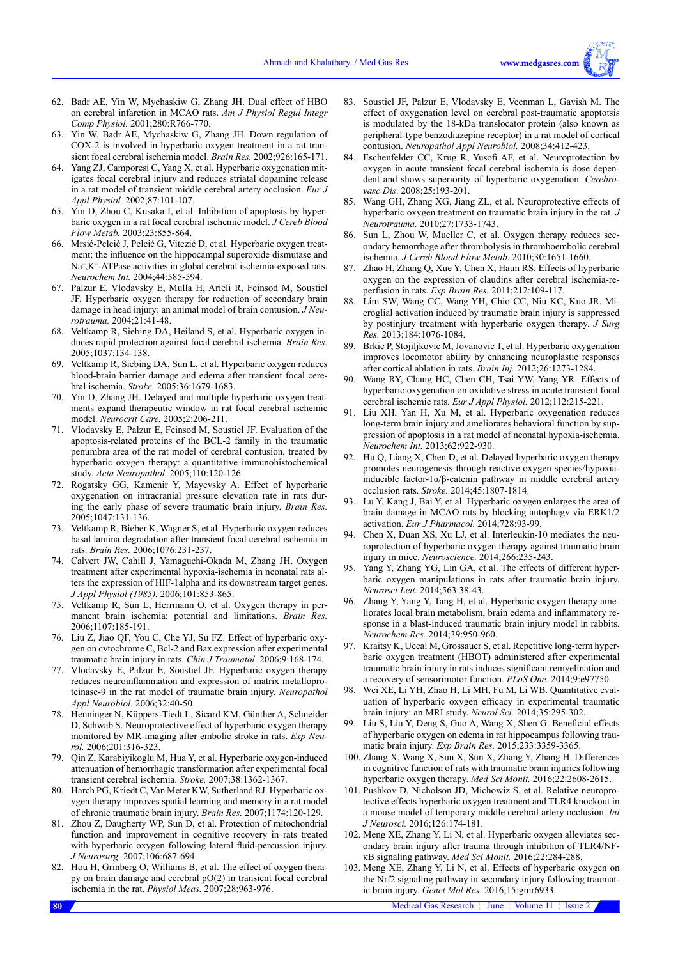- 62. Badr AE, Yin W, Mychaskiw G, Zhang JH. Dual effect of HBO on cerebral infarction in MCAO rats. *Am J Physiol Regul Integr Comp Physiol.* 2001;280:R766-770.
- 63. Yin W, Badr AE, Mychaskiw G, Zhang JH. Down regulation of COX-2 is involved in hyperbaric oxygen treatment in a rat transient focal cerebral ischemia model. *Brain Res.* 2002;926:165-171.
- 64. Yang ZJ, Camporesi C, Yang X, et al. Hyperbaric oxygenation mitigates focal cerebral injury and reduces striatal dopamine release in a rat model of transient middle cerebral artery occlusion. *Eur J Appl Physiol.* 2002;87:101-107.
- 65. Yin D, Zhou C, Kusaka I, et al. Inhibition of apoptosis by hyperbaric oxygen in a rat focal cerebral ischemic model. *J Cereb Blood Flow Metab.* 2003;23:855-864.
- 66. Mrsić-Pelcić J, Pelcić G, Vitezić D, et al. Hyperbaric oxygen treatment: the influence on the hippocampal superoxide dismutase and Na<sup>+</sup>,K<sup>+</sup>-ATPase activities in global cerebral ischemia-exposed rats. *Neurochem Int.* 2004;44:585-594.
- 67. Palzur E, Vlodavsky E, Mulla H, Arieli R, Feinsod M, Soustiel JF. Hyperbaric oxygen therapy for reduction of secondary brain damage in head injury: an animal model of brain contusion. *J Neurotrauma.* 2004;21:41-48.
- 68. Veltkamp R, Siebing DA, Heiland S, et al. Hyperbaric oxygen induces rapid protection against focal cerebral ischemia. *Brain Res.* 2005;1037:134-138.
- Veltkamp R, Siebing DA, Sun L, et al. Hyperbaric oxygen reduces blood-brain barrier damage and edema after transient focal cerebral ischemia. *Stroke.* 2005;36:1679-1683.
- 70. Yin D, Zhang JH. Delayed and multiple hyperbaric oxygen treatments expand therapeutic window in rat focal cerebral ischemic model. *Neurocrit Care.* 2005;2:206-211.
- 71. Vlodavsky E, Palzur E, Feinsod M, Soustiel JF. Evaluation of the apoptosis-related proteins of the BCL-2 family in the traumatic penumbra area of the rat model of cerebral contusion, treated by hyperbaric oxygen therapy: a quantitative immunohistochemical study. *Acta Neuropathol.* 2005;110:120-126.
- 72. Rogatsky GG, Kamenir Y, Mayevsky A. Effect of hyperbaric oxygenation on intracranial pressure elevation rate in rats during the early phase of severe traumatic brain injury. *Brain Res.* 2005;1047:131-136.
- 73. Veltkamp R, Bieber K, Wagner S, et al. Hyperbaric oxygen reduces basal lamina degradation after transient focal cerebral ischemia in rats. *Brain Res.* 2006;1076:231-237.
- 74. Calvert JW, Cahill J, Yamaguchi-Okada M, Zhang JH. Oxygen treatment after experimental hypoxia-ischemia in neonatal rats alters the expression of HIF-1alpha and its downstream target genes. *J Appl Physiol (1985).* 2006;101:853-865.
- 75. Veltkamp R, Sun L, Herrmann O, et al. Oxygen therapy in permanent brain ischemia: potential and limitations. *Brain Res.* 2006;1107:185-191.
- 76. Liu Z, Jiao QF, You C, Che YJ, Su FZ. Effect of hyperbaric oxygen on cytochrome C, Bcl-2 and Bax expression after experimental traumatic brain injury in rats. *Chin J Traumatol*. 2006;9:168-174.
- 77. Vlodavsky E, Palzur E, Soustiel JF. Hyperbaric oxygen therapy reduces neuroinflammation and expression of matrix metalloproteinase-9 in the rat model of traumatic brain injury. *Neuropathol Appl Neurobiol.* 2006;32:40-50.
- 78. Henninger N, Küppers-Tiedt L, Sicard KM, Günther A, Schneider D, Schwab S. Neuroprotective effect of hyperbaric oxygen therapy monitored by MR-imaging after embolic stroke in rats. *Exp Neurol.* 2006;201:316-323.
- 79. Qin Z, Karabiyikoglu M, Hua Y, et al. Hyperbaric oxygen-induced attenuation of hemorrhagic transformation after experimental focal transient cerebral ischemia. *Stroke.* 2007;38:1362-1367.
- 80. Harch PG, Kriedt C, Van Meter KW, Sutherland RJ. Hyperbaric oxygen therapy improves spatial learning and memory in a rat model of chronic traumatic brain injury. *Brain Res.* 2007;1174:120-129.
- 81. Zhou Z, Daugherty WP, Sun D, et al. Protection of mitochondrial function and improvement in cognitive recovery in rats treated with hyperbaric oxygen following lateral fluid-percussion injury. *J Neurosurg.* 2007;106:687-694.
- 82. Hou H, Grinberg O, Williams B, et al. The effect of oxygen therapy on brain damage and cerebral pO(2) in transient focal cerebral ischemia in the rat. *Physiol Meas.* 2007;28:963-976.
- 83. Soustiel JF, Palzur E, Vlodavsky E, Veenman L, Gavish M. The effect of oxygenation level on cerebral post-traumatic apoptotsis is modulated by the 18-kDa translocator protein (also known as peripheral-type benzodiazepine receptor) in a rat model of cortical contusion. *Neuropathol Appl Neurobiol.* 2008;34:412-423.
- 84. Eschenfelder CC, Krug R, Yusofi AF, et al. Neuroprotection by oxygen in acute transient focal cerebral ischemia is dose dependent and shows superiority of hyperbaric oxygenation. *Cerebrovasc Dis*. 2008;25:193-201.
- Wang GH, Zhang XG, Jiang ZL, et al. Neuroprotective effects of hyperbaric oxygen treatment on traumatic brain injury in the rat. *J Neurotrauma.* 2010;27:1733-1743.
- 86. Sun L, Zhou W, Mueller C, et al. Oxygen therapy reduces secondary hemorrhage after thrombolysis in thromboembolic cerebral ischemia. *J Cereb Blood Flow Metab*. 2010;30:1651-1660.
- 87. Zhao H, Zhang Q, Xue Y, Chen X, Haun RS. Effects of hyperbaric oxygen on the expression of claudins after cerebral ischemia-reperfusion in rats. *Exp Brain Res.* 2011;212:109-117.
- 88. Lim SW, Wang CC, Wang YH, Chio CC, Niu KC, Kuo JR. Microglial activation induced by traumatic brain injury is suppressed by postinjury treatment with hyperbaric oxygen therapy. *J Surg Res.* 2013;184:1076-1084.
- 89. Brkic P, Stojiljkovic M, Jovanovic T, et al. Hyperbaric oxygenation improves locomotor ability by enhancing neuroplastic responses after cortical ablation in rats. *Brain Inj.* 2012;26:1273-1284.
- 90. Wang RY, Chang HC, Chen CH, Tsai YW, Yang YR. Effects of hyperbaric oxygenation on oxidative stress in acute transient focal cerebral ischemic rats. *Eur J Appl Physiol.* 2012;112:215-221.
- 91. Liu XH, Yan H, Xu M, et al. Hyperbaric oxygenation reduces long-term brain injury and ameliorates behavioral function by suppression of apoptosis in a rat model of neonatal hypoxia-ischemia. *Neurochem Int.* 2013;62:922-930.
- 92. Hu Q, Liang X, Chen D, et al. Delayed hyperbaric oxygen therapy promotes neurogenesis through reactive oxygen species/hypoxiainducible factor-1α/β-catenin pathway in middle cerebral artery occlusion rats. *Stroke.* 2014;45:1807-1814.
- 93. Lu Y, Kang J, Bai Y, et al. Hyperbaric oxygen enlarges the area of brain damage in MCAO rats by blocking autophagy via ERK1/2 activation. *Eur J Pharmacol.* 2014;728:93-99.
- 94. Chen X, Duan XS, Xu LJ, et al. Interleukin-10 mediates the neuroprotection of hyperbaric oxygen therapy against traumatic brain injury in mice. *Neuroscience.* 2014;266:235-243.
- 95. Yang Y, Zhang YG, Lin GA, et al. The effects of different hyperbaric oxygen manipulations in rats after traumatic brain injury. *Neurosci Lett.* 2014;563:38-43.
- 96. Zhang Y, Yang Y, Tang H, et al. Hyperbaric oxygen therapy ameliorates local brain metabolism, brain edema and inflammatory response in a blast-induced traumatic brain injury model in rabbits. *Neurochem Res.* 2014;39:950-960.
- 97. Kraitsy K, Uecal M, Grossauer S, et al. Repetitive long-term hyperbaric oxygen treatment (HBOT) administered after experimental traumatic brain injury in rats induces significant remyelination and a recovery of sensorimotor function. *PLoS One.* 2014;9:e97750.
- 98. Wei XE, Li YH, Zhao H, Li MH, Fu M, Li WB. Quantitative evaluation of hyperbaric oxygen efficacy in experimental traumatic brain injury: an MRI study. *Neurol Sci.* 2014;35:295-302.
- 99. Liu S, Liu Y, Deng S, Guo A, Wang X, Shen G. Beneficial effects of hyperbaric oxygen on edema in rat hippocampus following traumatic brain injury. *Exp Brain Res.* 2015;233:3359-3365.
- 100. Zhang X, Wang X, Sun X, Sun X, Zhang Y, Zhang H. Differences in cognitive function of rats with traumatic brain injuries following hyperbaric oxygen therapy. *Med Sci Monit.* 2016;22:2608-2615.
- 101. Pushkov D, Nicholson JD, Michowiz S, et al. Relative neuroprotective effects hyperbaric oxygen treatment and TLR4 knockout in a mouse model of temporary middle cerebral artery occlusion. *Int J Neurosci.* 2016;126:174-181.
- 102. Meng XE, Zhang Y, Li N, et al. Hyperbaric oxygen alleviates secondary brain injury after trauma through inhibition of TLR4/NFκB signaling pathway. *Med Sci Monit.* 2016;22:284-288.
- 103. Meng XE, Zhang Y, Li N, et al. Effects of hyperbaric oxygen on the Nrf2 signaling pathway in secondary injury following traumatic brain injury. *Genet Mol Res.* 2016;15:gmr6933.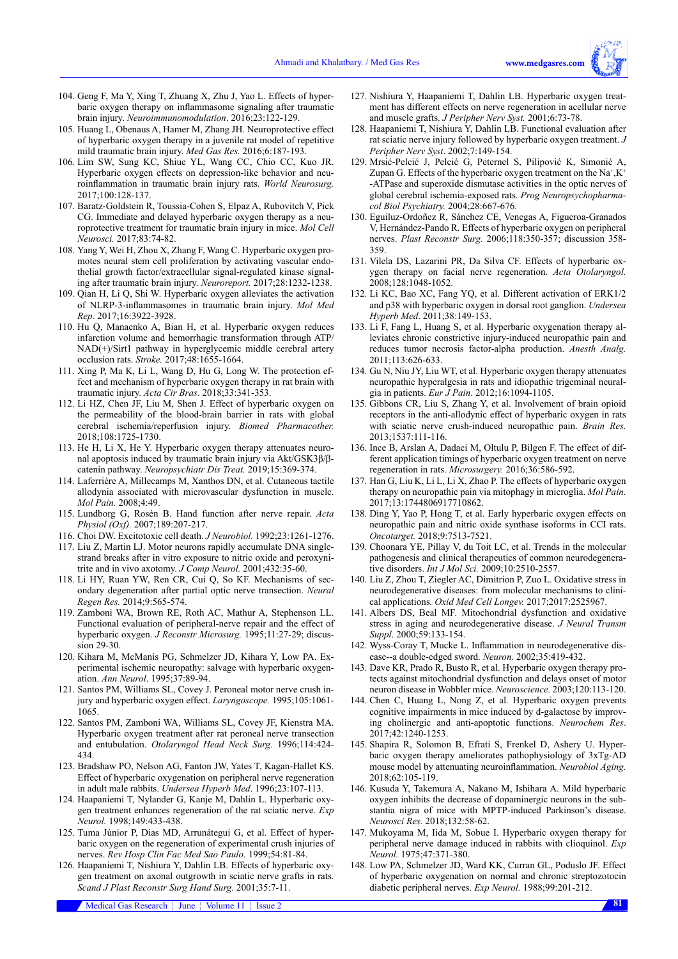- 104. Geng F, Ma Y, Xing T, Zhuang X, Zhu J, Yao L. Effects of hyperbaric oxygen therapy on inflammasome signaling after traumatic brain injury. *Neuroimmunomodulation*. 2016;23:122-129.
- 105. Huang L, Obenaus A, Hamer M, Zhang JH. Neuroprotective effect of hyperbaric oxygen therapy in a juvenile rat model of repetitive mild traumatic brain injury. *Med Gas Res.* 2016;6:187-193.
- 106. Lim SW, Sung KC, Shiue YL, Wang CC, Chio CC, Kuo JR. Hyperbaric oxygen effects on depression-like behavior and neuroinflammation in traumatic brain injury rats. *World Neurosurg.* 2017;100:128-137.
- 107. Baratz-Goldstein R, Toussia-Cohen S, Elpaz A, Rubovitch V, Pick CG. Immediate and delayed hyperbaric oxygen therapy as a neuroprotective treatment for traumatic brain injury in mice. *Mol Cell Neurosci.* 2017;83:74-82.
- 108. Yang Y, Wei H, Zhou X, Zhang F, Wang C. Hyperbaric oxygen promotes neural stem cell proliferation by activating vascular endothelial growth factor/extracellular signal-regulated kinase signaling after traumatic brain injury. *Neuroreport.* 2017;28:1232-1238.
- 109. Qian H, Li Q, Shi W. Hyperbaric oxygen alleviates the activation of NLRP‑3‑inflammasomes in traumatic brain injury. *Mol Med Rep*. 2017;16:3922-3928.
- 110. Hu Q, Manaenko A, Bian H, et al. Hyperbaric oxygen reduces infarction volume and hemorrhagic transformation through ATP/ NAD(+)/Sirt1 pathway in hyperglycemic middle cerebral artery occlusion rats. *Stroke.* 2017;48:1655-1664.
- 111. Xing P, Ma K, Li L, Wang D, Hu G, Long W. The protection effect and mechanism of hyperbaric oxygen therapy in rat brain with traumatic injury. *Acta Cir Bras*. 2018;33:341-353.
- 112. Li HZ, Chen JF, Liu M, Shen J. Effect of hyperbaric oxygen on the permeability of the blood-brain barrier in rats with global cerebral ischemia/reperfusion injury. *Biomed Pharmacother.*  2018;108:1725-1730.
- 113. He H, Li X, He Y. Hyperbaric oxygen therapy attenuates neuronal apoptosis induced by traumatic brain injury via Akt/GSK3β/βcatenin pathway. *Neuropsychiatr Dis Treat.* 2019;15:369-374.
- 114. Laferrière A, Millecamps M, Xanthos DN, et al. Cutaneous tactile allodynia associated with microvascular dysfunction in muscle. *Mol Pain.* 2008;4:49.
- 115. Lundborg G, Rosén B. Hand function after nerve repair. *Acta Physiol (Oxf).* 2007;189:207-217.
- 116. Choi DW. Excitotoxic cell death. *J Neurobiol.* 1992;23:1261-1276.
- 117. Liu Z, Martin LJ. Motor neurons rapidly accumulate DNA singlestrand breaks after in vitro exposure to nitric oxide and peroxynitrite and in vivo axotomy. *J Comp Neurol.* 2001;432:35-60.
- 118. Li HY, Ruan YW, Ren CR, Cui Q, So KF. Mechanisms of secondary degeneration after partial optic nerve transection. *Neural Regen Res.* 2014;9:565-574.
- 119. Zamboni WA, Brown RE, Roth AC, Mathur A, Stephenson LL. Functional evaluation of peripheral-nerve repair and the effect of hyperbaric oxygen. *J Reconstr Microsurg.* 1995;11:27-29; discussion 29-30.
- 120. Kihara M, McManis PG, Schmelzer JD, Kihara Y, Low PA. Experimental ischemic neuropathy: salvage with hyperbaric oxygenation. *Ann Neurol*. 1995;37:89-94.
- 121. Santos PM, Williams SL, Covey J. Peroneal motor nerve crush injury and hyperbaric oxygen effect. *Laryngoscope.* 1995;105:1061- 1065.
- 122. Santos PM, Zamboni WA, Williams SL, Covey JF, Kienstra MA. Hyperbaric oxygen treatment after rat peroneal nerve transection and entubulation. *Otolaryngol Head Neck Surg.* 1996;114:424- 434.
- 123. Bradshaw PO, Nelson AG, Fanton JW, Yates T, Kagan-Hallet KS. Effect of hyperbaric oxygenation on peripheral nerve regeneration in adult male rabbits. *Undersea Hyperb Med*. 1996;23:107-113.
- 124. Haapaniemi T, Nylander G, Kanje M, Dahlin L. Hyperbaric oxygen treatment enhances regeneration of the rat sciatic nerve. *Exp Neurol.* 1998;149:433-438.
- 125. Tuma Júnior P, Dias MD, Arrunátegui G, et al. Effect of hyperbaric oxygen on the regeneration of experimental crush injuries of nerves. *Rev Hosp Clin Fac Med Sao Paulo.* 1999;54:81-84.
- 126. Haapaniemi T, Nishiura Y, Dahlin LB. Effects of hyperbaric oxygen treatment on axonal outgrowth in sciatic nerve grafts in rats. *Scand J Plast Reconstr Surg Hand Surg.* 2001;35:7-11.
- 127. Nishiura Y, Haapaniemi T, Dahlin LB. Hyperbaric oxygen treatment has different effects on nerve regeneration in acellular nerve and muscle grafts. *J Peripher Nerv Syst.* 2001;6:73-78.
- 128. Haapaniemi T, Nishiura Y, Dahlin LB. Functional evaluation after rat sciatic nerve injury followed by hyperbaric oxygen treatment. *J Peripher Nerv Syst*. 2002;7:149-154.
- 129. Mrsić-Pelcić J, Pelcić G, Peternel S, Pilipović K, Simonić A, Zupan G. Effects of the hyperbaric oxygen treatment on the  $Na^{+}$ ,  $K^{+}$ -ATPase and superoxide dismutase activities in the optic nerves of global cerebral ischemia-exposed rats. *Prog Neuropsychopharmacol Biol Psychiatry.* 2004;28:667-676.
- 130. Eguiluz-Ordoñez R, Sánchez CE, Venegas A, Figueroa-Granados V, Hernández-Pando R. Effects of hyperbaric oxygen on peripheral nerves. *Plast Reconstr Surg.* 2006;118:350-357; discussion 358- 359.
- 131. Vilela DS, Lazarini PR, Da Silva CF. Effects of hyperbaric oxygen therapy on facial nerve regeneration. *Acta Otolaryngol.*  2008;128:1048-1052.
- 132. Li KC, Bao XC, Fang YQ, et al. Different activation of ERK1/2 and p38 with hyperbaric oxygen in dorsal root ganglion. *Undersea Hyperb Med*. 2011;38:149-153.
- 133. Li F, Fang L, Huang S, et al. Hyperbaric oxygenation therapy alleviates chronic constrictive injury-induced neuropathic pain and reduces tumor necrosis factor-alpha production. *Anesth Analg.*  2011;113:626-633.
- 134. Gu N, Niu JY, Liu WT, et al. Hyperbaric oxygen therapy attenuates neuropathic hyperalgesia in rats and idiopathic trigeminal neuralgia in patients. *Eur J Pain.* 2012;16:1094-1105.
- 135. Gibbons CR, Liu S, Zhang Y, et al. Involvement of brain opioid receptors in the anti-allodynic effect of hyperbaric oxygen in rats with sciatic nerve crush-induced neuropathic pain. *Brain Res.*  2013;1537:111-116.
- 136. Ince B, Arslan A, Dadaci M, Oltulu P, Bilgen F. The effect of different application timings of hyperbaric oxygen treatment on nerve regeneration in rats. *Microsurgery.* 2016;36:586-592.
- 137. Han G, Liu K, Li L, Li X, Zhao P. The effects of hyperbaric oxygen therapy on neuropathic pain via mitophagy in microglia. *Mol Pain.*  2017;13:1744806917710862.
- 138. Ding Y, Yao P, Hong T, et al. Early hyperbaric oxygen effects on neuropathic pain and nitric oxide synthase isoforms in CCI rats. *Oncotarget.* 2018;9:7513-7521.
- 139. Choonara YE, Pillay V, du Toit LC, et al. Trends in the molecular pathogenesis and clinical therapeutics of common neurodegenerative disorders. *Int J Mol Sci.* 2009;10:2510-2557.
- 140. Liu Z, Zhou T, Ziegler AC, Dimitrion P, Zuo L. Oxidative stress in neurodegenerative diseases: from molecular mechanisms to clinical applications*. Oxid Med Cell Longev.* 2017;2017:2525967.
- 141. Albers DS, Beal MF. Mitochondrial dysfunction and oxidative stress in aging and neurodegenerative disease. *J Neural Transm Suppl*. 2000;59:133-154.
- 142. Wyss-Coray T, Mucke L. Inflammation in neurodegenerative disease--a double-edged sword. *Neuron*. 2002;35:419-432.
- 143. Dave KR, Prado R, Busto R, et al. Hyperbaric oxygen therapy protects against mitochondrial dysfunction and delays onset of motor neuron disease in Wobbler mice. *Neuroscience.* 2003;120:113-120.
- 144. Chen C, Huang L, Nong Z, et al. Hyperbaric oxygen prevents cognitive impairments in mice induced by d-galactose by improving cholinergic and anti-apoptotic functions. *Neurochem Res*. 2017;42:1240-1253.
- 145. Shapira R, Solomon B, Efrati S, Frenkel D, Ashery U. Hyperbaric oxygen therapy ameliorates pathophysiology of 3xTg-AD mouse model by attenuating neuroinflammation. *Neurobiol Aging.* 2018;62:105-119.
- 146. Kusuda Y, Takemura A, Nakano M, Ishihara A. Mild hyperbaric oxygen inhibits the decrease of dopaminergic neurons in the substantia nigra of mice with MPTP-induced Parkinson's disease. *Neurosci Res.* 2018;132:58-62.
- 147. Mukoyama M, Iida M, Sobue I. Hyperbaric oxygen therapy for peripheral nerve damage induced in rabbits with clioquinol. *Exp Neurol.* 1975;47:371-380.
- 148. Low PA, Schmelzer JD, Ward KK, Curran GL, Poduslo JF. Effect of hyperbaric oxygenation on normal and chronic streptozotocin diabetic peripheral nerves. *Exp Neurol.* 1988;99:201-212.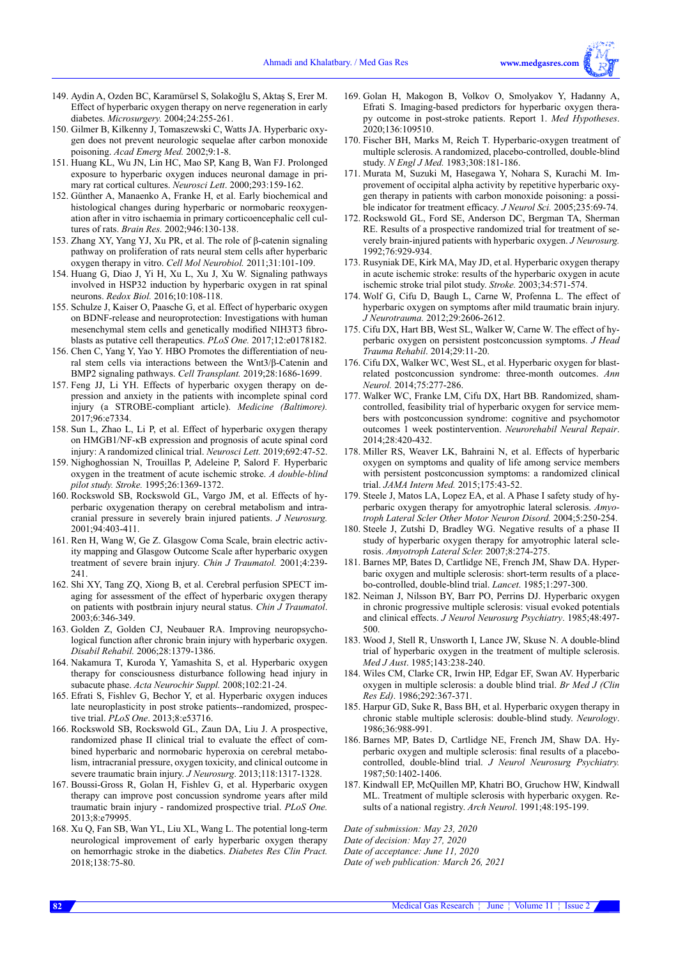- 149. Aydin A, Ozden BC, Karamürsel S, Solakoğlu S, Aktaş S, Erer M. Effect of hyperbaric oxygen therapy on nerve regeneration in early diabetes. *Microsurgery.* 2004;24:255-261.
- 150. Gilmer B, Kilkenny J, Tomaszewski C, Watts JA. Hyperbaric oxygen does not prevent neurologic sequelae after carbon monoxide poisoning. *Acad Emerg Med.* 2002;9:1-8.
- 151. Huang KL, Wu JN, Lin HC, Mao SP, Kang B, Wan FJ. Prolonged exposure to hyperbaric oxygen induces neuronal damage in primary rat cortical cultures. *Neurosci Lett*. 2000;293:159-162.
- 152. Günther A, Manaenko A, Franke H, et al. Early biochemical and histological changes during hyperbaric or normobaric reoxygenation after in vitro ischaemia in primary corticoencephalic cell cultures of rats. *Brain Res.* 2002;946:130-138.
- 153. Zhang XY, Yang YJ, Xu PR, et al. The role of β-catenin signaling pathway on proliferation of rats neural stem cells after hyperbaric oxygen therapy in vitro. *Cell Mol Neurobiol.* 2011;31:101-109.
- 154. Huang G, Diao J, Yi H, Xu L, Xu J, Xu W. Signaling pathways involved in HSP32 induction by hyperbaric oxygen in rat spinal neurons. *Redox Biol.* 2016;10:108-118.
- 155. Schulze J, Kaiser O, Paasche G, et al. Effect of hyperbaric oxygen on BDNF-release and neuroprotection: Investigations with human mesenchymal stem cells and genetically modified NIH3T3 fibroblasts as putative cell therapeutics. *PLoS One.* 2017;12:e0178182.
- 156. Chen C, Yang Y, Yao Y. HBO Promotes the differentiation of neural stem cells via interactions between the Wnt3/β-Catenin and BMP2 signaling pathways. *Cell Transplant.* 2019;28:1686-1699.
- 157. Feng JJ, Li YH. Effects of hyperbaric oxygen therapy on depression and anxiety in the patients with incomplete spinal cord injury (a STROBE-compliant article). *Medicine (Baltimore).* 2017;96:e7334.
- 158. Sun L, Zhao L, Li P, et al. Effect of hyperbaric oxygen therapy on HMGB1/NF-κB expression and prognosis of acute spinal cord injury: A randomized clinical trial. *Neurosci Lett.* 2019;692:47-52.
- 159. Nighoghossian N, Trouillas P, Adeleine P, Salord F. Hyperbaric oxygen in the treatment of acute ischemic stroke. *A double-blind pilot study. Stroke.* 1995;26:1369-1372.
- 160. Rockswold SB, Rockswold GL, Vargo JM, et al. Effects of hyperbaric oxygenation therapy on cerebral metabolism and intracranial pressure in severely brain injured patients. *J Neurosurg.* 2001;94:403-411.
- 161. Ren H, Wang W, Ge Z. Glasgow Coma Scale, brain electric activity mapping and Glasgow Outcome Scale after hyperbaric oxygen treatment of severe brain injury. *Chin J Traumatol.* 2001;4:239- 241.
- 162. Shi XY, Tang ZQ, Xiong B, et al. Cerebral perfusion SPECT imaging for assessment of the effect of hyperbaric oxygen therapy on patients with postbrain injury neural status. *Chin J Traumatol*. 2003;6:346-349.
- 163. Golden Z, Golden CJ, Neubauer RA. Improving neuropsychological function after chronic brain injury with hyperbaric oxygen. *Disabil Rehabil.* 2006;28:1379-1386.
- 164. Nakamura T, Kuroda Y, Yamashita S, et al. Hyperbaric oxygen therapy for consciousness disturbance following head injury in subacute phase. *Acta Neurochir Suppl.* 2008;102:21-24.
- 165. Efrati S, Fishlev G, Bechor Y, et al. Hyperbaric oxygen induces late neuroplasticity in post stroke patients--randomized, prospective trial. *PLoS One*. 2013;8:e53716.
- 166. Rockswold SB, Rockswold GL, Zaun DA, Liu J. A prospective, randomized phase II clinical trial to evaluate the effect of combined hyperbaric and normobaric hyperoxia on cerebral metabolism, intracranial pressure, oxygen toxicity, and clinical outcome in severe traumatic brain injury. *J Neurosurg*. 2013;118:1317-1328.
- 167. Boussi-Gross R, Golan H, Fishlev G, et al. Hyperbaric oxygen therapy can improve post concussion syndrome years after mild traumatic brain injury - randomized prospective trial. *PLoS One.* 2013;8:e79995.
- 168. Xu Q, Fan SB, Wan YL, Liu XL, Wang L. The potential long-term neurological improvement of early hyperbaric oxygen therapy on hemorrhagic stroke in the diabetics. *Diabetes Res Clin Pract.* 2018;138:75-80.
- 169. Golan H, Makogon B, Volkov O, Smolyakov Y, Hadanny A, Efrati S. Imaging-based predictors for hyperbaric oxygen therapy outcome in post-stroke patients. Report 1. *Med Hypotheses*. 2020;136:109510.
- 170. Fischer BH, Marks M, Reich T. Hyperbaric-oxygen treatment of multiple sclerosis. A randomized, placebo-controlled, double-blind study. *N Engl J Med.* 1983;308:181-186.
- 171. Murata M, Suzuki M, Hasegawa Y, Nohara S, Kurachi M. Improvement of occipital alpha activity by repetitive hyperbaric oxygen therapy in patients with carbon monoxide poisoning: a possible indicator for treatment efficacy. *J Neurol Sci.* 2005;235:69-74.
- 172. Rockswold GL, Ford SE, Anderson DC, Bergman TA, Sherman RE. Results of a prospective randomized trial for treatment of severely brain-injured patients with hyperbaric oxygen. *J Neurosurg.*  1992;76:929-934.
- 173. Rusyniak DE, Kirk MA, May JD, et al. Hyperbaric oxygen therapy in acute ischemic stroke: results of the hyperbaric oxygen in acute ischemic stroke trial pilot study. *Stroke.* 2003;34:571-574.
- 174. Wolf G, Cifu D, Baugh L, Carne W, Profenna L. The effect of hyperbaric oxygen on symptoms after mild traumatic brain injury. *J Neurotrauma.* 2012;29:2606-2612.
- 175. Cifu DX, Hart BB, West SL, Walker W, Carne W. The effect of hyperbaric oxygen on persistent postconcussion symptoms. *J Head Trauma Rehabil*. 2014;29:11-20.
- 176. Cifu DX, Walker WC, West SL, et al. Hyperbaric oxygen for blastrelated postconcussion syndrome: three-month outcomes. *Ann Neurol.* 2014;75:277-286.
- 177. Walker WC, Franke LM, Cifu DX, Hart BB. Randomized, shamcontrolled, feasibility trial of hyperbaric oxygen for service members with postconcussion syndrome: cognitive and psychomotor outcomes 1 week postintervention. *Neurorehabil Neural Repair*. 2014;28:420-432.
- 178. Miller RS, Weaver LK, Bahraini N, et al. Effects of hyperbaric oxygen on symptoms and quality of life among service members with persistent postconcussion symptoms: a randomized clinical trial. *JAMA Intern Med.* 2015;175:43-52.
- 179. Steele J, Matos LA, Lopez EA, et al. A Phase I safety study of hyperbaric oxygen therapy for amyotrophic lateral sclerosis. *Amyotroph Lateral Scler Other Motor Neuron Disord.* 2004;5:250-254.
- 180. Steele J, Zutshi D, Bradley WG. Negative results of a phase II study of hyperbaric oxygen therapy for amyotrophic lateral sclerosis. *Amyotroph Lateral Scler.* 2007;8:274-275.
- 181. Barnes MP, Bates D, Cartlidge NE, French JM, Shaw DA. Hyperbaric oxygen and multiple sclerosis: short-term results of a placebo-controlled, double-blind trial. *Lancet*. 1985;1:297-300.
- 182. Neiman J, Nilsson BY, Barr PO, Perrins DJ. Hyperbaric oxygen in chronic progressive multiple sclerosis: visual evoked potentials and clinical effects. *J Neurol Neurosurg Psychiatry*. 1985;48:497- 500.
- 183. Wood J, Stell R, Unsworth I, Lance JW, Skuse N. A double-blind trial of hyperbaric oxygen in the treatment of multiple sclerosis. *Med J Aust*. 1985;143:238-240.
- 184. Wiles CM, Clarke CR, Irwin HP, Edgar EF, Swan AV. Hyperbaric oxygen in multiple sclerosis: a double blind trial. *Br Med J (Clin Res Ed)*. 1986;292:367-371.
- 185. Harpur GD, Suke R, Bass BH, et al. Hyperbaric oxygen therapy in chronic stable multiple sclerosis: double-blind study. *Neurology*. 1986;36:988-991.
- 186. Barnes MP, Bates D, Cartlidge NE, French JM, Shaw DA. Hyperbaric oxygen and multiple sclerosis: final results of a placebocontrolled, double-blind trial. *J Neurol Neurosurg Psychiatry.* 1987;50:1402-1406.
- 187. Kindwall EP, McQuillen MP, Khatri BO, Gruchow HW, Kindwall ML. Treatment of multiple sclerosis with hyperbaric oxygen. Results of a national registry. *Arch Neurol*. 1991;48:195-199.

*Date of submission: May 23, 2020 Date of decision: May 27, 2020 Date of acceptance: June 11, 2020 Date of web publication: March 26, 2021*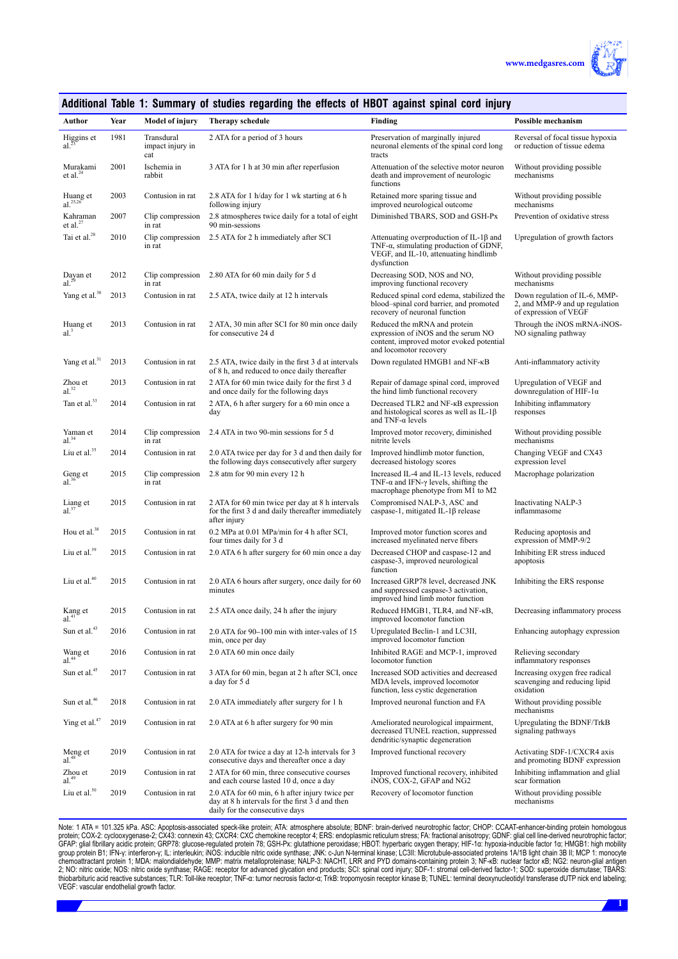

|  |  |  | Additional Table 1: Summary of studies regarding the effects of HBOT against spinal cord injury |  |  |
|--|--|--|-------------------------------------------------------------------------------------------------|--|--|
|--|--|--|-------------------------------------------------------------------------------------------------|--|--|

| Author                        | Year | <b>Model of injury</b>                | Therapy schedule                                                                                                                    | Finding                                                                                                                                                   | <b>Possible mechanism</b>                                                                |
|-------------------------------|------|---------------------------------------|-------------------------------------------------------------------------------------------------------------------------------------|-----------------------------------------------------------------------------------------------------------------------------------------------------------|------------------------------------------------------------------------------------------|
| Higgins et al. $^{23}$        | 1981 | Transdural<br>impact injury in<br>cat | 2 ATA for a period of 3 hours                                                                                                       | Preservation of marginally injured<br>neuronal elements of the spinal cord long<br>tracts                                                                 | Reversal of focal tissue hypoxia<br>or reduction of tissue edema                         |
| Murakami<br>et al. $^{24}$    | 2001 | Ischemia in<br>rabbit                 | 3 ATA for 1 h at 30 min after reperfusion                                                                                           | Attenuation of the selective motor neuron<br>death and improvement of neurologic<br>functions                                                             | Without providing possible<br>mechanisms                                                 |
| Huang et al. <sup>25,26</sup> | 2003 | Contusion in rat                      | 2.8 ATA for 1 h/day for 1 wk starting at 6 h<br>following injury                                                                    | Retained more sparing tissue and<br>improved neurological outcome                                                                                         | Without providing possible<br>mechanisms                                                 |
| Kahraman<br>et al. $27$       | 2007 | Clip compression<br>in rat            | 2.8 atmospheres twice daily for a total of eight<br>90 min-sessions                                                                 | Diminished TBARS, SOD and GSH-Px                                                                                                                          | Prevention of oxidative stress                                                           |
| Tai et al. <sup>28</sup>      | 2010 | Clip compression<br>in rat            | 2.5 ATA for 2 h immediately after SCI                                                                                               | Attenuating overproduction of IL-1 $\beta$ and<br>TNF- $\alpha$ , stimulating production of GDNF,<br>VEGF, and IL-10, attenuating hindlimb<br>dysfunction | Upregulation of growth factors                                                           |
| Dayan et al. $29$             | 2012 | Clip compression<br>in rat            | 2.80 ATA for 60 min daily for 5 d                                                                                                   | Decreasing SOD, NOS and NO,<br>improving functional recovery                                                                                              | Without providing possible<br>mechanisms                                                 |
| Yang et al. <sup>30</sup>     | 2013 | Contusion in rat                      | 2.5 ATA, twice daily at 12 h intervals                                                                                              | Reduced spinal cord edema, stabilized the<br>blood-spinal cord barrier, and promoted<br>recovery of neuronal function                                     | Down regulation of IL-6, MMP-<br>2, and MMP-9 and up regulation<br>of expression of VEGF |
| Huang et<br>al. <sup>3</sup>  | 2013 | Contusion in rat                      | 2 ATA, 30 min after SCI for 80 min once daily<br>for consecutive 24 d                                                               | Reduced the mRNA and protein<br>expression of iNOS and the serum NO<br>content, improved motor evoked potential<br>and locomotor recovery                 | Through the iNOS mRNA-iNOS-<br>NO signaling pathway                                      |
| Yang et al. <sup>31</sup>     | 2013 | Contusion in rat                      | 2.5 ATA, twice daily in the first 3 d at intervals<br>of 8 h, and reduced to once daily thereafter                                  | Down regulated HMGB1 and NF-KB                                                                                                                            | Anti-inflammatory activity                                                               |
| $Z$ hou et al. $32$           | 2013 | Contusion in rat                      | 2 ATA for 60 min twice daily for the first 3 d<br>and once daily for the following days                                             | Repair of damage spinal cord, improved<br>the hind limb functional recovery                                                                               | Upregulation of VEGF and<br>downregulation of HIF-1 $\alpha$                             |
| Tan et al. <sup>33</sup>      | 2014 | Contusion in rat                      | 2 ATA, 6 h after surgery for a 60 min once a<br>day                                                                                 | Decreased TLR2 and NF-KB expression<br>and histological scores as well as IL-1 $\beta$<br>and TNF- $\alpha$ levels                                        | Inhibiting inflammatory<br>responses                                                     |
| Yaman et<br>$al.^{34}$        | 2014 | Clip compression<br>in rat            | 2.4 ATA in two 90-min sessions for 5 d                                                                                              | Improved motor recovery, diminished<br>nitrite levels                                                                                                     | Without providing possible<br>mechanisms                                                 |
| Liu et al. <sup>35</sup>      | 2014 | Contusion in rat                      | 2.0 ATA twice per day for 3 d and then daily for<br>the following days consecutively after surgery                                  | Improved hindlimb motor function,<br>decreased histology scores                                                                                           | Changing VEGF and CX43<br>expression level                                               |
| Geng et al. $36$              | 2015 | Clip compression<br>in rat            | 2.8 atm for 90 min every 12 h                                                                                                       | Increased IL-4 and IL-13 levels, reduced<br>TNF- $\alpha$ and IFN- $\gamma$ levels, shifting the<br>macrophage phenotype from M1 to M2                    | Macrophage polarization                                                                  |
| Liang et al. $37$             | 2015 | Contusion in rat                      | 2 ATA for 60 min twice per day at 8 h intervals<br>for the first 3 d and daily thereafter immediately<br>after injury               | Compromised NALP-3, ASC and<br>caspase-1, mitigated IL-1 $\beta$ release                                                                                  | Inactivating NALP-3<br>inflammasome                                                      |
| Hou et al. <sup>38</sup>      | 2015 | Contusion in rat                      | 0.2 MPa at 0.01 MPa/min for 4 h after SCI,<br>four times daily for 3 d                                                              | Improved motor function scores and<br>increased myelinated nerve fibers                                                                                   | Reducing apoptosis and<br>expression of MMP-9/2                                          |
| Liu et al. <sup>39</sup>      | 2015 | Contusion in rat                      | 2.0 ATA 6 h after surgery for 60 min once a day                                                                                     | Decreased CHOP and caspase-12 and<br>caspase-3, improved neurological<br>function                                                                         | Inhibiting ER stress induced<br>apoptosis                                                |
| Liu et al. <sup>40</sup>      | 2015 | Contusion in rat                      | 2.0 ATA 6 hours after surgery, once daily for 60<br>minutes                                                                         | Increased GRP78 level, decreased JNK<br>and suppressed caspase-3 activation,<br>improved hind limb motor function                                         | Inhibiting the ERS response                                                              |
| Kang et<br>al. <sup>41</sup>  | 2015 | Contusion in rat                      | 2.5 ATA once daily, 24 h after the injury                                                                                           | Reduced HMGB1, TLR4, and NF-KB,<br>improved locomotor function                                                                                            | Decreasing inflammatory process                                                          |
| Sun et al. $43$               | 2016 | Contusion in rat                      | 2.0 ATA for 90-100 min with inter-vales of 15<br>min, once per day                                                                  | Upregulated Beclin-1 and LC3II,<br>improved locomotor function                                                                                            | Enhancing autophagy expression                                                           |
| Wang et al. <sup>44</sup>     | 2016 | Contusion in rat                      | 2.0 ATA 60 min once daily                                                                                                           | Inhibited RAGE and MCP-1, improved<br>locomotor function                                                                                                  | Relieving secondary<br>inflammatory responses                                            |
| Sun et al. <sup>45</sup>      | 2017 | Contusion in rat                      | 3 ATA for 60 min, began at 2 h after SCI, once<br>a day for 5 d                                                                     | Increased SOD activities and decreased<br>MDA levels, improved locomotor<br>function, less cystic degeneration                                            | Increasing oxygen free radical<br>scavenging and reducing lipid<br>oxidation             |
| Sun et al. <sup>46</sup>      | 2018 | Contusion in rat                      | 2.0 ATA immediately after surgery for 1 h                                                                                           | Improved neuronal function and FA                                                                                                                         | Without providing possible<br>mechanisms                                                 |
| Ying et al. <sup>47</sup>     | 2019 | Contusion in rat                      | 2.0 ATA at 6 h after surgery for 90 min                                                                                             | Ameliorated neurological impairment,<br>decreased TUNEL reaction, suppressed<br>dendritic/synaptic degeneration                                           | Upregulating the BDNF/TrkB<br>signaling pathways                                         |
| Meng et al. $48$              | 2019 | Contusion in rat                      | 2.0 ATA for twice a day at 12-h intervals for 3<br>consecutive days and thereafter once a day                                       | Improved functional recovery                                                                                                                              | Activating SDF-1/CXCR4 axis<br>and promoting BDNF expression                             |
| Zhou et<br>al. <sup>49</sup>  | 2019 | Contusion in rat                      | 2 ATA for 60 min, three consecutive courses<br>and each course lasted 10 d, once a day                                              | Improved functional recovery, inhibited<br>iNOS, COX-2, GFAP and NG2                                                                                      | Inhibiting inflammation and glial<br>scar formation                                      |
| Liu et al. <sup>50</sup>      | 2019 | Contusion in rat                      | 2.0 ATA for 60 min, 6 h after injury twice per<br>day at 8 h intervals for the first 3 d and then<br>daily for the consecutive days | Recovery of locomotor function                                                                                                                            | Without providing possible<br>mechanisms                                                 |

Note: 1 AIA = 101.325 kPa. ASC: Apoptosis-associated speck-like protein; AIA: atmosphere absolute; BDNF: brain-derived neurotrophic factor; CHOP: CCAAI-enhancer-binding protein homologous<br>protein; COX-2: cyclooxygenase-2; VEGF: vascular endothelial growth factor.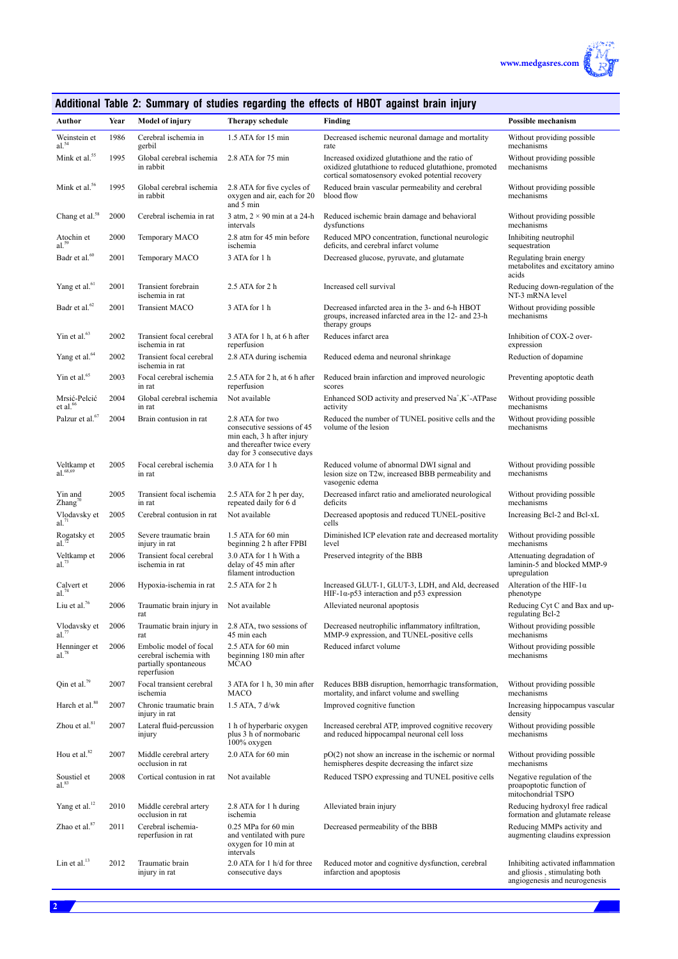

# **Additional Table 2: Summary of studies regarding the effects of HBOT against brain injury**

| Author                               | Year | <b>Model of injury</b>                                                                   | Therapy schedule                                                                                                                        | <b>Finding</b>                                                                                                                                               | <b>Possible mechanism</b>                                                                           |
|--------------------------------------|------|------------------------------------------------------------------------------------------|-----------------------------------------------------------------------------------------------------------------------------------------|--------------------------------------------------------------------------------------------------------------------------------------------------------------|-----------------------------------------------------------------------------------------------------|
| Weinstein et al. $54$                | 1986 | Cerebral ischemia in<br>gerbil                                                           | 1.5 ATA for 15 min                                                                                                                      | Decreased ischemic neuronal damage and mortality<br>rate                                                                                                     | Without providing possible<br>mechanisms                                                            |
| Mink et al. <sup>55</sup>            | 1995 | Global cerebral ischemia<br>in rabbit                                                    | 2.8 ATA for 75 min                                                                                                                      | Increased oxidized glutathione and the ratio of<br>oxidized glutathione to reduced glutathione, promoted<br>cortical somatosensory evoked potential recovery | Without providing possible<br>mechanisms                                                            |
| Mink et al. <sup>56</sup>            | 1995 | Global cerebral ischemia<br>in rabbit                                                    | 2.8 ATA for five cycles of<br>oxygen and air, each for 20<br>and 5 min                                                                  | Reduced brain vascular permeability and cerebral<br>blood flow                                                                                               | Without providing possible<br>mechanisms                                                            |
| Chang et al. <sup>58</sup>           | 2000 | Cerebral ischemia in rat                                                                 | 3 atm, $2 \times 90$ min at a 24-h<br>intervals                                                                                         | Reduced ischemic brain damage and behavioral<br>dysfunctions                                                                                                 | Without providing possible<br>mechanisms                                                            |
| Atochin et al. $59$                  | 2000 | Temporary MACO                                                                           | 2.8 atm for 45 min before<br>ischemia                                                                                                   | Reduced MPO concentration, functional neurologic<br>deficits, and cerebral infarct volume                                                                    | Inhibiting neutrophil<br>sequestration                                                              |
| Badr et al. $\rm ^{60}$              | 2001 | Temporary MACO                                                                           | 3 ATA for 1 h                                                                                                                           | Decreased glucose, pyruvate, and glutamate                                                                                                                   | Regulating brain energy<br>metabolites and excitatory amino<br>acids                                |
| Yang et al. <sup>61</sup>            | 2001 | Transient forebrain<br>ischemia in rat                                                   | $2.5$ ATA for $2 h$                                                                                                                     | Increased cell survival                                                                                                                                      | Reducing down-regulation of the<br>NT-3 mRNA level                                                  |
| Badr et al. <sup>62</sup>            | 2001 | <b>Transient MACO</b>                                                                    | 3 ATA for 1 h                                                                                                                           | Decreased infarcted area in the 3- and 6-h HBOT<br>groups, increased infarcted area in the 12- and 23-h<br>therapy groups                                    | Without providing possible<br>mechanisms                                                            |
| Yin et al. <sup>63</sup>             | 2002 | Transient focal cerebral<br>ischemia in rat                                              | 3 ATA for 1 h, at 6 h after<br>reperfusion                                                                                              | Reduces infarct area                                                                                                                                         | Inhibition of COX-2 over-<br>expression                                                             |
| Yang et al. <sup>64</sup>            | 2002 | Transient focal cerebral<br>ischemia in rat                                              | 2.8 ATA during ischemia                                                                                                                 | Reduced edema and neuronal shrinkage                                                                                                                         | Reduction of dopamine                                                                               |
| Yin et al. $65$                      | 2003 | Focal cerebral ischemia<br>in rat                                                        | 2.5 ATA for 2 h, at 6 h after<br>reperfusion                                                                                            | Reduced brain infarction and improved neurologic<br>scores                                                                                                   | Preventing apoptotic death                                                                          |
| Mrsić-Pelcić<br>et al. <sup>66</sup> | 2004 | Global cerebral ischemia<br>in rat                                                       | Not available                                                                                                                           | Enhanced SOD activity and preserved Na <sup>+</sup> ,K <sup>+</sup> -ATPase<br>activity                                                                      | Without providing possible<br>mechanisms                                                            |
| Palzur et al. <sup>67</sup>          | 2004 | Brain contusion in rat                                                                   | 2.8 ATA for two<br>consecutive sessions of 45<br>min each, 3 h after injury<br>and thereafter twice every<br>day for 3 consecutive days | Reduced the number of TUNEL positive cells and the<br>volume of the lesion                                                                                   | Without providing possible<br>mechanisms                                                            |
| Veltkamp et<br>$al.$ $68,69$         | 2005 | Focal cerebral ischemia<br>in rat                                                        | 3.0 ATA for 1 h                                                                                                                         | Reduced volume of abnormal DWI signal and<br>lesion size on T2w, increased BBB permeability and<br>vasogenic edema                                           | Without providing possible<br>mechanisms                                                            |
| Yin and<br>Zhang <sup>70</sup>       | 2005 | Transient focal ischemia<br>in rat                                                       | 2.5 ATA for 2 h per day,<br>repeated daily for 6 d                                                                                      | Decreased infarct ratio and ameliorated neurological<br>deficits                                                                                             | Without providing possible<br>mechanisms                                                            |
| Vlodavsky et<br>$al.^{71}$           | 2005 | Cerebral contusion in rat                                                                | Not available                                                                                                                           | Decreased apoptosis and reduced TUNEL-positive<br>cells                                                                                                      | Increasing Bcl-2 and Bcl-xL                                                                         |
| Rogatsky et al. <sup>72</sup>        | 2005 | Severe traumatic brain<br>injury in rat                                                  | 1.5 ATA for 60 min<br>beginning 2 h after FPBI                                                                                          | Diminished ICP elevation rate and decreased mortality<br>level                                                                                               | Without providing possible<br>mechanisms                                                            |
| Veltkamp et<br>$al.^{73}$            | 2006 | Transient focal cerebral<br>ischemia in rat                                              | 3.0 ATA for 1 h With a<br>delay of 45 min after<br>filament introduction                                                                | Preserved integrity of the BBB                                                                                                                               | Attenuating degradation of<br>laminin-5 and blocked MMP-9<br>upregulation                           |
| Calvert et<br>$al^{74}$              | 2006 | Hypoxia-ischemia in rat                                                                  | $2.5$ ATA for $2 h$                                                                                                                     | Increased GLUT-1, GLUT-3, LDH, and Ald, decreased<br>HIF-1 $\alpha$ -p53 interaction and p53 expression                                                      | Alteration of the HIF-1 $\alpha$<br>phenotype                                                       |
| Liu et al. <sup>76</sup>             | 2006 | Traumatic brain injury in<br>rat                                                         | Not available                                                                                                                           | Alleviated neuronal apoptosis                                                                                                                                | Reducing Cyt C and Bax and up-<br>regulating Bcl-2                                                  |
| Vlodavsky et<br>al.77                | 2006 | Traumatic brain injury in<br>rat                                                         | 2.8 ATA, two sessions of<br>45 min each                                                                                                 | Decreased neutrophilic inflammatory infiltration,<br>MMP-9 expression, and TUNEL-positive cells                                                              | Without providing possible<br>mechanisms                                                            |
| Henninger et<br>$al.^{78}$           | 2006 | Embolic model of focal<br>cerebral ischemia with<br>partially spontaneous<br>reperfusion | 2.5 ATA for 60 min<br>beginning 180 min after<br>MCAO                                                                                   | Reduced infarct volume                                                                                                                                       | Without providing possible<br>mechanisms                                                            |
| Qin et al. <sup>79</sup>             | 2007 | Focal transient cerebral<br>ischemia                                                     | 3 ATA for 1 h, 30 min after<br>MACO                                                                                                     | Reduces BBB disruption, hemorrhagic transformation,<br>mortality, and infarct volume and swelling                                                            | Without providing possible<br>mechanisms                                                            |
| Harch et al. <sup>80</sup>           | 2007 | Chronic traumatic brain<br>injury in rat                                                 | $1.5$ ATA, 7 d/wk                                                                                                                       | Improved cognitive function                                                                                                                                  | Increasing hippocampus vascular<br>density                                                          |
| Zhou et al. <sup>81</sup>            | 2007 | Lateral fluid-percussion<br>injury                                                       | 1 h of hyperbaric oxygen<br>plus 3 h of normobaric<br>100% oxygen                                                                       | Increased cerebral ATP, improved cognitive recovery<br>and reduced hippocampal neuronal cell loss                                                            | Without providing possible<br>mechanisms                                                            |
| Hou et al. <sup>82</sup>             | 2007 | Middle cerebral artery<br>occlusion in rat                                               | 2.0 ATA for 60 min                                                                                                                      | $pO(2)$ not show an increase in the ischemic or normal<br>hemispheres despite decreasing the infarct size                                                    | Without providing possible<br>mechanisms                                                            |
| Soustiel et al. <sup>83</sup>        | 2008 | Cortical contusion in rat                                                                | Not available                                                                                                                           | Reduced TSPO expressing and TUNEL positive cells                                                                                                             | Negative regulation of the<br>proapoptotic function of<br>mitochondrial TSPO                        |
| Yang et al. <sup>12</sup>            | 2010 | Middle cerebral artery<br>occlusion in rat                                               | 2.8 ATA for 1 h during<br>ischemia                                                                                                      | Alleviated brain injury                                                                                                                                      | Reducing hydroxyl free radical<br>formation and glutamate release                                   |
| Zhao et al. <sup>87</sup>            | 2011 | Cerebral ischemia-<br>reperfusion in rat                                                 | $0.25$ MPa for 60 min<br>and ventilated with pure<br>oxygen for 10 min at<br>intervals                                                  | Decreased permeability of the BBB                                                                                                                            | Reducing MMPs activity and<br>augmenting claudins expression                                        |
| Lin et al. <sup>13</sup>             | 2012 | Traumatic brain<br>injury in rat                                                         | 2.0 ATA for 1 h/d for three<br>consecutive days                                                                                         | Reduced motor and cognitive dysfunction, cerebral<br>infarction and apoptosis                                                                                | Inhibiting activated inflammation<br>and gliosis, stimulating both<br>angiogenesis and neurogenesis |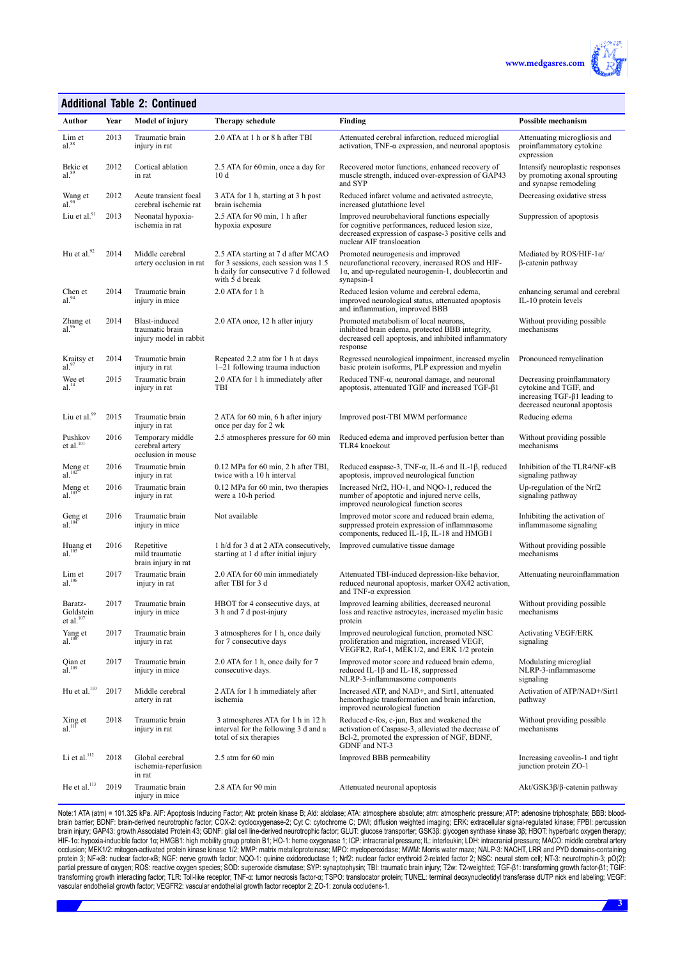

#### **Additional Table 2: Continued**

| Author                               | Year | Model of injury                                            | <b>Therapy schedule</b>                                                                                                              | <b>Finding</b>                                                                                                                                                                         | <b>Possible mechanism</b>                                                                                                    |
|--------------------------------------|------|------------------------------------------------------------|--------------------------------------------------------------------------------------------------------------------------------------|----------------------------------------------------------------------------------------------------------------------------------------------------------------------------------------|------------------------------------------------------------------------------------------------------------------------------|
| Lim et<br>al. <sup>88</sup>          | 2013 | Traumatic brain<br>injury in rat                           | 2.0 ATA at 1 h or 8 h after TBI                                                                                                      | Attenuated cerebral infarction, reduced microglial<br>activation, $TNF-\alpha$ expression, and neuronal apoptosis                                                                      | Attenuating microgliosis and<br>proinflammatory cytokine<br>expression                                                       |
| Brkic et<br>$al.$ <sup>89</sup>      | 2012 | Cortical ablation<br>in rat                                | 2.5 ATA for 60 min, once a day for<br>10d                                                                                            | Recovered motor functions, enhanced recovery of<br>muscle strength, induced over-expression of GAP43<br>and SYP                                                                        | Intensify neuroplastic responses<br>by promoting axonal sprouting<br>and synapse remodeling                                  |
| Wang et<br>$al.^{90}$                | 2012 | Acute transient focal<br>cerebral ischemic rat             | 3 ATA for 1 h, starting at 3 h post<br>brain ischemia                                                                                | Reduced infarct volume and activated astrocyte,<br>increased glutathione level                                                                                                         | Decreasing oxidative stress                                                                                                  |
| Liu et al.91                         | 2013 | Neonatal hypoxia-<br>ischemia in rat                       | 2.5 ATA for 90 min, 1 h after<br>hypoxia exposure                                                                                    | Improved neurobehavioral functions especially<br>for cognitive performances, reduced lesion size,<br>decreased expression of caspase-3 positive cells and<br>nuclear AIF translocation | Suppression of apoptosis                                                                                                     |
| Hu et al. <sup>92</sup>              | 2014 | Middle cerebral<br>artery occlusion in rat                 | 2.5 ATA starting at 7 d after MCAO<br>for 3 sessions, each session was 1.5<br>h daily for consecutive 7 d followed<br>with 5 d break | Promoted neurogenesis and improved<br>neurofunctional recovery, increased ROS and HIF-<br>$1\alpha$ , and up-regulated neurogenin-1, doublecortin and<br>synapsin-1                    | Mediated by $ROS/HIF-1\alpha/$<br>β-catenin pathway                                                                          |
| Chen et<br>$al.^{94}$                | 2014 | Traumatic brain<br>injury in mice                          | 2.0 ATA for 1 h                                                                                                                      | Reduced lesion volume and cerebral edema,<br>improved neurological status, attenuated apoptosis<br>and inflammation, improved BBB                                                      | enhancing serumal and cerebral<br>IL-10 protein levels                                                                       |
| Zhang et<br>$al.^{96}$               | 2014 | Blast-induced<br>traumatic brain<br>injury model in rabbit | 2.0 ATA once, 12 h after injury                                                                                                      | Promoted metabolism of local neurons,<br>inhibited brain edema, protected BBB integrity,<br>decreased cell apoptosis, and inhibited inflammatory<br>response                           | Without providing possible<br>mechanisms                                                                                     |
| Kraitsy et<br>al.97                  | 2014 | Traumatic brain<br>injury in rat                           | Repeated 2.2 atm for 1 h at days<br>1–21 following trauma induction                                                                  | Regressed neurological impairment, increased myelin<br>basic protein isoforms, PLP expression and myelin                                                                               | Pronounced remyelination                                                                                                     |
| Wee et al. $14$                      | 2015 | Traumatic brain<br>injury in rat                           | 2.0 ATA for 1 h immediately after<br>TBI                                                                                             | Reduced TNF-a, neuronal damage, and neuronal<br>apoptosis, attenuated TGIF and increased TGF- $\beta$ 1                                                                                | Decreasing proinflammatory<br>cytokine and TGIF, and<br>increasing TGF- $\beta$ 1 leading to<br>decreased neuronal apoptosis |
| Liu et al. <sup>99</sup>             | 2015 | Traumatic brain<br>injury in rat                           | 2 ATA for 60 min, 6 h after injury<br>once per day for 2 wk                                                                          | Improved post-TBI MWM performance                                                                                                                                                      | Reducing edema                                                                                                               |
| Pushkov et al. $101$                 | 2016 | Temporary middle<br>cerebral artery<br>occlusion in mouse  | 2.5 atmospheres pressure for 60 min                                                                                                  | Reduced edema and improved perfusion better than<br>TLR4 knockout                                                                                                                      | Without providing possible<br>mechanisms                                                                                     |
| Meng et al. $102$                    | 2016 | Traumatic brain<br>injury in rat                           | $0.12$ MPa for 60 min, 2 h after TBI,<br>twice with a 10 h interval                                                                  | Reduced caspase-3, TNF- $\alpha$ , IL-6 and IL-1 $\beta$ , reduced<br>apoptosis, improved neurological function                                                                        | Inhibition of the TLR4/NF-KB<br>signaling pathway                                                                            |
| Meng et al. $103$                    | 2016 | Traumatic brain<br>injury in rat                           | 0.12 MPa for 60 min, two therapies<br>were a 10-h period                                                                             | Increased Nrf2, HO-1, and NQO-1, reduced the<br>number of apoptotic and injured nerve cells,<br>improved neurological function scores                                                  | Up-regulation of the Nrf2<br>signaling pathway                                                                               |
| Geng et al. $104$                    | 2016 | Traumatic brain<br>injury in mice                          | Not available                                                                                                                        | Improved motor score and reduced brain edema,<br>suppressed protein expression of inflammasome<br>components, reduced IL-1 $\beta$ , IL-18 and HMGB1                                   | Inhibiting the activation of<br>inflammasome signaling                                                                       |
| Huang et<br>$al.$ <sup>105</sup>     | 2016 | Repetitive<br>mild traumatic<br>brain injury in rat        | 1 h/d for 3 d at 2 ATA consecutively,<br>starting at 1 d after initial injury                                                        | Improved cumulative tissue damage                                                                                                                                                      | Without providing possible<br>mechanisms                                                                                     |
| Lim et<br>$al.$ <sup>106</sup>       | 2017 | Traumatic brain<br>injury in rat                           | 2.0 ATA for 60 min immediately<br>after TBI for 3 d                                                                                  | Attenuated TBI-induced depression-like behavior,<br>reduced neuronal apoptosis, marker OX42 activation,<br>and TNF- $\alpha$ expression                                                | Attenuating neuroinflammation                                                                                                |
| Baratz-<br>Goldstein<br>et al. $107$ | 2017 | Traumatic brain<br>injury in mice                          | HBOT for 4 consecutive days, at<br>3 h and 7 d post-injury                                                                           | Improved learning abilities, decreased neuronal<br>loss and reactive astrocytes, increased myelin basic<br>protein                                                                     | Without providing possible<br>mechanisms                                                                                     |
| Yang et<br>$al.$ <sup>108</sup>      | 2017 | Traumatic brain<br>injury in rat                           | 3 atmospheres for 1 h, once daily<br>for 7 consecutive days                                                                          | Improved neurological function, promoted NSC<br>proliferation and migration, increased VEGF,<br>VEGFR2, Raf-1, MEK1/2, and ERK 1/2 protein                                             | <b>Activating VEGF/ERK</b><br>signaling                                                                                      |
| Qian et al. $109$                    | 2017 | Traumatic brain<br>injury in mice                          | 2.0 ATA for 1 h, once daily for 7<br>consecutive days.                                                                               | Improved motor score and reduced brain edema,<br>reduced IL-1 $\beta$ and IL-18, suppressed<br>NLRP-3-inflammasome components                                                          | Modulating microglial<br>NLRP-3-inflammasome<br>signaling                                                                    |
| Hu et al. $110$                      | 2017 | Middle cerebral<br>artery in rat                           | 2 ATA for 1 h immediately after<br>ischemia                                                                                          | Increased ATP, and NAD+, and Sirt1, attenuated<br>hemorrhagic transformation and brain infarction,<br>improved neurological function                                                   | Activation of ATP/NAD+/Sirt1<br>pathway                                                                                      |
| $\lim_{\text{all}}$ et al.           | 2018 | Traumatic brain<br>injury in rat                           | 3 atmospheres ATA for 1 h in 12 h<br>interval for the following 3 d and a<br>total of six therapies                                  | Reduced c-fos, c-jun, Bax and weakened the<br>activation of Caspase-3, alleviated the decrease of<br>Bcl-2, promoted the expression of NGF, BDNF,<br>GDNF and NT-3                     | Without providing possible<br>mechanisms                                                                                     |
| Li et al. <sup>112</sup>             | 2018 | Global cerebral<br>ischemia-reperfusion<br>in rat          | $2.5$ atm for 60 min                                                                                                                 | Improved BBB permeability                                                                                                                                                              | Increasing caveolin-1 and tight<br>junction protein ZO-1                                                                     |
| He et al. $^{113}$                   | 2019 | Traumatic brain<br>injury in mice                          | 2.8 ATA for 90 min                                                                                                                   | Attenuated neuronal apoptosis                                                                                                                                                          | Akt/GSK3β/β-catenin pathway                                                                                                  |

Note:1 ATA (atm) = 101.325 kPa. AIF: Apoptosis Inducing Factor; Akt: protein kinase B; Ald: aldolase; ATA: atmosphere absolute; atm: atmospheric pressure; ATP: adenosine triphosphate; BBB: bloodbrain barrier; BDNF: brain-derived neurotrophic factor; COX-2: cyclooxygenase-2; Cyt C: cytochrome C; DWI; diffusion weighted imaging; ERK: extracellular signal-regulated kinase; FPBI: percussion brain injury; GAP43: growth Associated Protein 43; GDNF: glial cell line-derived neurotrophic factor; GLUT: glucose transporter; GSK3β: glycogen synthase kinase 3β; HBOT: hyperbaric oxygen therapy; HIF-1α: hypoxia-inducible factor 1α; HMGB1: high mobility group protein B1; HO-1: heme oxygenase 1; ICP: intracranial pressure; IL: interleukin; LDH: intracranial pressure; MACO: middle cerebral artery occlusion; MEK1/2: mitogen-activated protein kinase kinase 1/2; MMP: matrix metalloproteinase; MPO: myeloperoxidase; MWM: Morris water maze; NALP-3: NACHT, LRR and PYD domains-containing protein 3; NF-κB: nuclear tactor-κB; NGF: nerve growth tactor; NQO-1: quinine oxidoreductase 1; Nrf2: nuclear tactor erythroid 2-related tactor 2; NSC: neural stem cell; NT-3: neurotrophin-3; pO(2): partial pressure of oxygen; ROS: reactive oxygen species; SOD: superoxide dismutase; SYP: synaptophysin; TBI: traumatic brain injury; T2w: T2-weighted; TGF-β1: transforming growth factor-β1; TGIF: transforming growth interacting factor; TLR: Ioll-like receptor; TNF-α: tumor necrosis factor-α; TSPO: translocator protein; TUNEL: terminal deoxynucleotidyl transferase dUTP nick end labeling; VEGF: vascular endothelial growth factor; VEGFR2: vascular endothelial growth factor receptor 2; ZO-1: zonula occludens-1.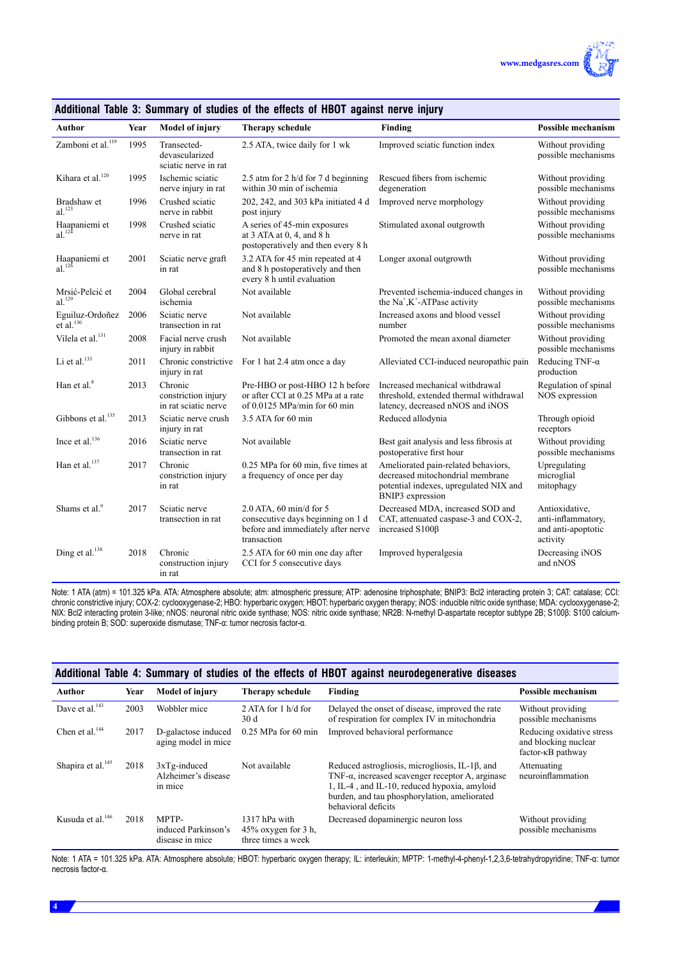

| <b>Author</b>                                           | Year | <b>Model of injury</b>                                 | Therapy schedule                                                                                                    | Finding                                                                                                                               | <b>Possible mechanism</b>                                              |
|---------------------------------------------------------|------|--------------------------------------------------------|---------------------------------------------------------------------------------------------------------------------|---------------------------------------------------------------------------------------------------------------------------------------|------------------------------------------------------------------------|
| Zamboni et al. <sup>119</sup>                           | 1995 | Transected-<br>devascularized<br>sciatic nerve in rat  | 2.5 ATA, twice daily for 1 wk                                                                                       | Improved sciatic function index                                                                                                       | Without providing<br>possible mechanisms                               |
| Kihara et al. <sup>120</sup>                            | 1995 | Ischemic sciatic<br>nerve injury in rat                | 2.5 atm for 2 h/d for 7 d beginning<br>within 30 min of ischemia                                                    | Rescued fibers from ischemic<br>degeneration                                                                                          | Without providing<br>possible mechanisms                               |
| Bradshaw et<br>$al.$ <sup>123</sup>                     | 1996 | Crushed sciatic<br>nerve in rabbit                     | 202, 242, and 303 kPa initiated 4 d<br>post injury                                                                  | Improved nerve morphology                                                                                                             | Without providing<br>possible mechanisms                               |
| Haapaniemi et<br>$al.$ <sup>124</sup>                   | 1998 | Crushed sciatic<br>nerve in rat                        | A series of 45-min exposures<br>at $3$ ATA at $0, 4$ , and $8$ h<br>postoperatively and then every 8 h              | Stimulated axonal outgrowth                                                                                                           | Without providing<br>possible mechanisms                               |
| Haapaniemi et<br>$al.$ <sup>12<math>\delta</math></sup> | 2001 | Sciatic nerve graft<br>in rat                          | 3.2 ATA for 45 min repeated at 4<br>and 8 h postoperatively and then<br>every 8 h until evaluation                  | Longer axonal outgrowth                                                                                                               | Without providing<br>possible mechanisms                               |
| Mrsić-Pelcić et<br>$al.$ <sup>129</sup>                 | 2004 | Global cerebral<br>ischemia                            | Not available                                                                                                       | Prevented ischemia-induced changes in<br>the $Na^+$ , $K^+$ -ATPase activity                                                          | Without providing<br>possible mechanisms                               |
| Eguiluz-Ordoñez<br>$et$ al. <sup>130</sup>              | 2006 | Sciatic nerve<br>transection in rat                    | Not available                                                                                                       | Increased axons and blood vessel<br>number                                                                                            | Without providing<br>possible mechanisms                               |
| Vilela et al. <sup>131</sup>                            | 2008 | Facial nerve crush<br>injury in rabbit                 | Not available                                                                                                       | Promoted the mean axonal diameter                                                                                                     | Without providing<br>possible mechanisms                               |
| Li et al. <sup>133</sup>                                | 2011 | Chronic constrictive<br>injury in rat                  | For 1 hat 2.4 atm once a day                                                                                        | Alleviated CCI-induced neuropathic pain                                                                                               | Reducing TNF- $\alpha$<br>production                                   |
| Han et al. <sup>8</sup>                                 | 2013 | Chronic<br>constriction injury<br>in rat sciatic nerve | Pre-HBO or post-HBO 12 h before<br>or after CCI at 0.25 MPa at a rate<br>of 0.0125 MPa/min for 60 min               | Increased mechanical withdrawal<br>threshold, extended thermal withdrawal<br>latency, decreased nNOS and iNOS                         | Regulation of spinal<br>NOS expression                                 |
| Gibbons et al. <sup>135</sup>                           | 2013 | Sciatic nerve crush<br>injury in rat                   | 3.5 ATA for 60 min                                                                                                  | Reduced allodynia                                                                                                                     | Through opioid<br>receptors                                            |
| Ince et al. <sup>136</sup>                              | 2016 | Sciatic nerve<br>transection in rat                    | Not available                                                                                                       | Best gait analysis and less fibrosis at<br>postoperative first hour                                                                   | Without providing<br>possible mechanisms                               |
| Han et al. <sup>137</sup>                               | 2017 | Chronic<br>constriction injury<br>in rat               | 0.25 MPa for 60 min, five times at<br>a frequency of once per day                                                   | Ameliorated pain-related behaviors,<br>decreased mitochondrial membrane<br>potential indexes, upregulated NIX and<br>BNIP3 expression | Upregulating<br>microglial<br>mitophagy                                |
| Shams et al. <sup>9</sup>                               | 2017 | Sciatic nerve<br>transection in rat                    | $2.0$ ATA, 60 min/d for 5<br>consecutive days beginning on 1 d<br>before and immediately after nerve<br>transaction | Decreased MDA, increased SOD and<br>CAT, attenuated caspase-3 and COX-2,<br>increased S100ß                                           | Antioxidative,<br>anti-inflammatory,<br>and anti-apoptotic<br>activity |
| Ding et al. <sup>138</sup>                              | 2018 | Chronic<br>construction injury<br>in rat               | 2.5 ATA for 60 min one day after<br>CCI for 5 consecutive days                                                      | Improved hyperalgesia                                                                                                                 | Decreasing iNOS<br>and nNOS                                            |

# **Additional Table 3: Summary of studies of the effects of HBOT against nerve injury**

Note: 1 ATA (atm) = 101.325 kPa. ATA: Atmosphere absolute; atm: atmospheric pressure; ATP: adenosine triphosphate; BNIP3: Bcl2 interacting protein 3; CAT: catalase; CCI: chronic constrictive injury; COX-2: cyclooxygenase-2; HBO: hyperbaric oxygen; HBOT: hyperbaric oxygen therapy; iNOS: inducible nitric oxide synthase; MDA: cyclooxygenase-2; NIX: Bcl2 interacting protein 3-like; nNOS: neuronal nitric oxide synthase; NOS: nitric oxide synthase; NR2B: N-methyl D-aspartate receptor subtype 2B; S100β: S100 calciumbinding protein B; SOD: superoxide dismutase; TNF-α: tumor necrosis factor-α.

| Additional Table 4: Summary of studies of the effects of HBOT against neurodegenerative diseases |      |                                                   |                                                               |                                                                                                                                                                                                                                                |                                                                                    |
|--------------------------------------------------------------------------------------------------|------|---------------------------------------------------|---------------------------------------------------------------|------------------------------------------------------------------------------------------------------------------------------------------------------------------------------------------------------------------------------------------------|------------------------------------------------------------------------------------|
| <b>Author</b>                                                                                    | Year | <b>Model of injury</b>                            | Therapy schedule                                              | Finding                                                                                                                                                                                                                                        | <b>Possible mechanism</b>                                                          |
| Dave et al. <sup>143</sup>                                                                       | 2003 | Wobbler mice                                      | 2 ATA for $1 \text{ h/d}$ for<br>30 d                         | Delayed the onset of disease, improved the rate<br>of respiration for complex IV in mitochondria                                                                                                                                               | Without providing<br>possible mechanisms                                           |
| Chen et al. $^{144}$                                                                             | 2017 | D-galactose induced<br>aging model in mice        | $0.25$ MPa for 60 min                                         | Improved behavioral performance                                                                                                                                                                                                                | Reducing oxidative stress<br>and blocking nuclear<br>factor- <sub>KB</sub> pathway |
| Shapira et al. <sup>145</sup>                                                                    | 2018 | $3xTg$ -induced<br>Alzheimer's disease<br>in mice | Not available                                                 | Reduced astrogliosis, microgliosis, IL-1 <sub>B</sub> , and<br>TNF- $\alpha$ , increased scavenger receptor A, arginase<br>1, IL-4, and IL-10, reduced hypoxia, amyloid<br>burden, and tau phosphorylation, ameliorated<br>behavioral deficits | Attenuating<br>neuroinflammation                                                   |
| Kusuda et al. $146$                                                                              | 2018 | MPTP-<br>induced Parkinson's<br>disease in mice   | 1317 hPa with<br>$45\%$ oxygen for 3 h,<br>three times a week | Decreased dopaminergic neuron loss                                                                                                                                                                                                             | Without providing<br>possible mechanisms                                           |

Note: 1 ATA = 101.325 kPa. ATA: Atmosphere absolute; HBOT: hyperbaric oxygen therapy; IL: interleukin; MPTP: 1-methyl-4-phenyl-1,2,3,6-tetrahydropyridine; TNF-α: tumor necrosis factor-α.